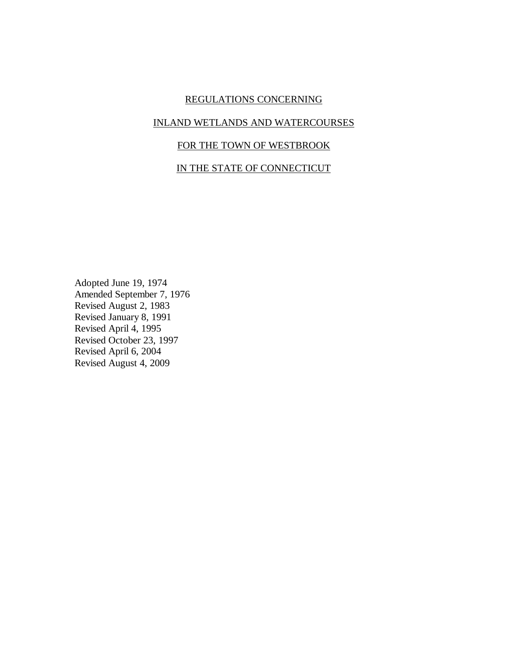# REGULATIONS CONCERNING

### INLAND WETLANDS AND WATERCOURSES

# FOR THE TOWN OF WESTBROOK

# IN THE STATE OF CONNECTICUT

Adopted June 19, 1974 Amended September 7, 1976 Revised August 2, 1983 Revised January 8, 1991 Revised April 4, 1995 Revised October 23, 1997 Revised April 6, 2004 Revised August 4, 2009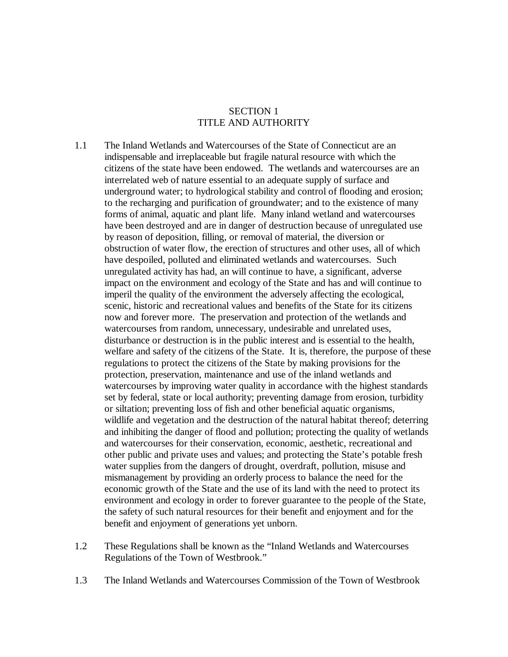## SECTION 1 TITLE AND AUTHORITY

- 1.1 The Inland Wetlands and Watercourses of the State of Connecticut are an indispensable and irreplaceable but fragile natural resource with which the citizens of the state have been endowed. The wetlands and watercourses are an interrelated web of nature essential to an adequate supply of surface and underground water; to hydrological stability and control of flooding and erosion; to the recharging and purification of groundwater; and to the existence of many forms of animal, aquatic and plant life. Many inland wetland and watercourses have been destroyed and are in danger of destruction because of unregulated use by reason of deposition, filling, or removal of material, the diversion or obstruction of water flow, the erection of structures and other uses, all of which have despoiled, polluted and eliminated wetlands and watercourses. Such unregulated activity has had, an will continue to have, a significant, adverse impact on the environment and ecology of the State and has and will continue to imperil the quality of the environment the adversely affecting the ecological, scenic, historic and recreational values and benefits of the State for its citizens now and forever more. The preservation and protection of the wetlands and watercourses from random, unnecessary, undesirable and unrelated uses, disturbance or destruction is in the public interest and is essential to the health, welfare and safety of the citizens of the State. It is, therefore, the purpose of these regulations to protect the citizens of the State by making provisions for the protection, preservation, maintenance and use of the inland wetlands and watercourses by improving water quality in accordance with the highest standards set by federal, state or local authority; preventing damage from erosion, turbidity or siltation; preventing loss of fish and other beneficial aquatic organisms, wildlife and vegetation and the destruction of the natural habitat thereof; deterring and inhibiting the danger of flood and pollution; protecting the quality of wetlands and watercourses for their conservation, economic, aesthetic, recreational and other public and private uses and values; and protecting the State's potable fresh water supplies from the dangers of drought, overdraft, pollution, misuse and mismanagement by providing an orderly process to balance the need for the economic growth of the State and the use of its land with the need to protect its environment and ecology in order to forever guarantee to the people of the State, the safety of such natural resources for their benefit and enjoyment and for the benefit and enjoyment of generations yet unborn.
- 1.2 These Regulations shall be known as the "Inland Wetlands and Watercourses Regulations of the Town of Westbrook."
- 1.3 The Inland Wetlands and Watercourses Commission of the Town of Westbrook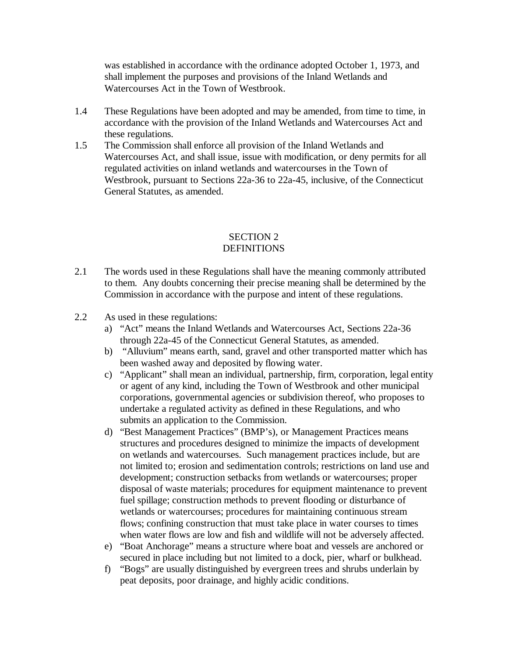was established in accordance with the ordinance adopted October 1, 1973, and shall implement the purposes and provisions of the Inland Wetlands and Watercourses Act in the Town of Westbrook.

- 1.4 These Regulations have been adopted and may be amended, from time to time, in accordance with the provision of the Inland Wetlands and Watercourses Act and these regulations.
- 1.5 The Commission shall enforce all provision of the Inland Wetlands and Watercourses Act, and shall issue, issue with modification, or deny permits for all regulated activities on inland wetlands and watercourses in the Town of Westbrook, pursuant to Sections 22a-36 to 22a-45, inclusive, of the Connecticut General Statutes, as amended.

# SECTION 2 **DEFINITIONS**

- 2.1 The words used in these Regulations shall have the meaning commonly attributed to them. Any doubts concerning their precise meaning shall be determined by the Commission in accordance with the purpose and intent of these regulations.
- 2.2 As used in these regulations:
	- a) "Act" means the Inland Wetlands and Watercourses Act, Sections 22a-36 through 22a-45 of the Connecticut General Statutes, as amended.
	- b) "Alluvium" means earth, sand, gravel and other transported matter which has been washed away and deposited by flowing water.
	- c) "Applicant" shall mean an individual, partnership, firm, corporation, legal entity or agent of any kind, including the Town of Westbrook and other municipal corporations, governmental agencies or subdivision thereof, who proposes to undertake a regulated activity as defined in these Regulations, and who submits an application to the Commission.
	- d) "Best Management Practices" (BMP's), or Management Practices means structures and procedures designed to minimize the impacts of development on wetlands and watercourses. Such management practices include, but are not limited to; erosion and sedimentation controls; restrictions on land use and development; construction setbacks from wetlands or watercourses; proper disposal of waste materials; procedures for equipment maintenance to prevent fuel spillage; construction methods to prevent flooding or disturbance of wetlands or watercourses; procedures for maintaining continuous stream flows; confining construction that must take place in water courses to times when water flows are low and fish and wildlife will not be adversely affected.
	- e) "Boat Anchorage" means a structure where boat and vessels are anchored or secured in place including but not limited to a dock, pier, wharf or bulkhead.
	- f) "Bogs" are usually distinguished by evergreen trees and shrubs underlain by peat deposits, poor drainage, and highly acidic conditions.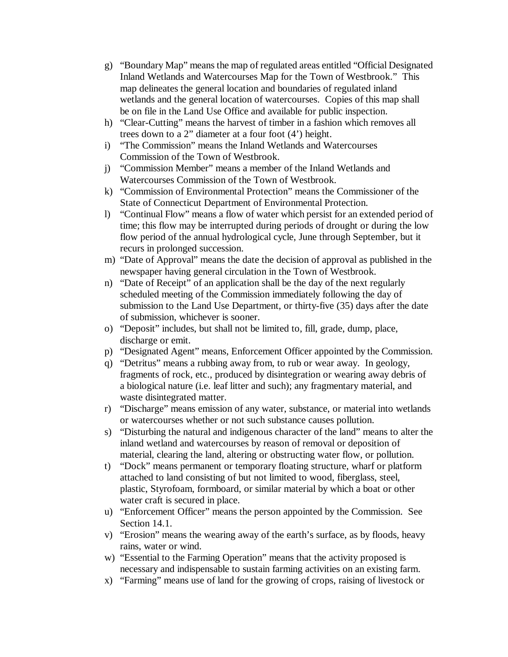- g) "Boundary Map" means the map of regulated areas entitled "Official Designated Inland Wetlands and Watercourses Map for the Town of Westbrook." This map delineates the general location and boundaries of regulated inland wetlands and the general location of watercourses. Copies of this map shall be on file in the Land Use Office and available for public inspection.
- h) "Clear-Cutting" means the harvest of timber in a fashion which removes all trees down to a 2" diameter at a four foot (4') height.
- i) "The Commission" means the Inland Wetlands and Watercourses Commission of the Town of Westbrook.
- j) "Commission Member" means a member of the Inland Wetlands and Watercourses Commission of the Town of Westbrook.
- k) "Commission of Environmental Protection" means the Commissioner of the State of Connecticut Department of Environmental Protection.
- l) "Continual Flow" means a flow of water which persist for an extended period of time; this flow may be interrupted during periods of drought or during the low flow period of the annual hydrological cycle, June through September, but it recurs in prolonged succession.
- m) "Date of Approval" means the date the decision of approval as published in the newspaper having general circulation in the Town of Westbrook.
- n) "Date of Receipt" of an application shall be the day of the next regularly scheduled meeting of the Commission immediately following the day of submission to the Land Use Department, or thirty-five (35) days after the date of submission, whichever is sooner.
- o) "Deposit" includes, but shall not be limited to, fill, grade, dump, place, discharge or emit.
- p) "Designated Agent" means, Enforcement Officer appointed by the Commission.
- q) "Detritus" means a rubbing away from, to rub or wear away. In geology, fragments of rock, etc., produced by disintegration or wearing away debris of a biological nature (i.e. leaf litter and such); any fragmentary material, and waste disintegrated matter.
- r) "Discharge" means emission of any water, substance, or material into wetlands or watercourses whether or not such substance causes pollution.
- s) "Disturbing the natural and indigenous character of the land" means to alter the inland wetland and watercourses by reason of removal or deposition of material, clearing the land, altering or obstructing water flow, or pollution.
- t) "Dock" means permanent or temporary floating structure, wharf or platform attached to land consisting of but not limited to wood, fiberglass, steel, plastic, Styrofoam, formboard, or similar material by which a boat or other water craft is secured in place.
- u) "Enforcement Officer" means the person appointed by the Commission. See Section 14.1.
- v) "Erosion" means the wearing away of the earth's surface, as by floods, heavy rains, water or wind.
- w) "Essential to the Farming Operation" means that the activity proposed is necessary and indispensable to sustain farming activities on an existing farm.
- x) "Farming" means use of land for the growing of crops, raising of livestock or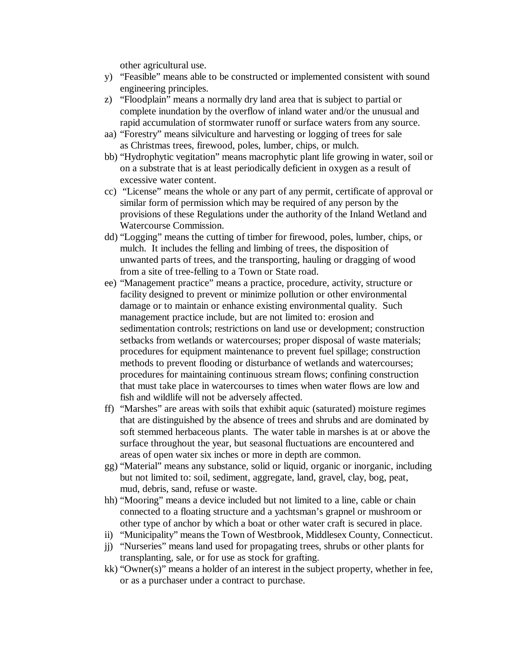other agricultural use.

- y) "Feasible" means able to be constructed or implemented consistent with sound engineering principles.
- z) "Floodplain" means a normally dry land area that is subject to partial or complete inundation by the overflow of inland water and/or the unusual and rapid accumulation of stormwater runoff or surface waters from any source.
- aa) "Forestry" means silviculture and harvesting or logging of trees for sale as Christmas trees, firewood, poles, lumber, chips, or mulch.
- bb) "Hydrophytic vegitation" means macrophytic plant life growing in water, soil or on a substrate that is at least periodically deficient in oxygen as a result of excessive water content.
- cc) "License" means the whole or any part of any permit, certificate of approval or similar form of permission which may be required of any person by the provisions of these Regulations under the authority of the Inland Wetland and Watercourse Commission.
- dd) "Logging" means the cutting of timber for firewood, poles, lumber, chips, or mulch. It includes the felling and limbing of trees, the disposition of unwanted parts of trees, and the transporting, hauling or dragging of wood from a site of tree-felling to a Town or State road.
- ee) "Management practice" means a practice, procedure, activity, structure or facility designed to prevent or minimize pollution or other environmental damage or to maintain or enhance existing environmental quality. Such management practice include, but are not limited to: erosion and sedimentation controls; restrictions on land use or development; construction setbacks from wetlands or watercourses; proper disposal of waste materials; procedures for equipment maintenance to prevent fuel spillage; construction methods to prevent flooding or disturbance of wetlands and watercourses; procedures for maintaining continuous stream flows; confining construction that must take place in watercourses to times when water flows are low and fish and wildlife will not be adversely affected.
- ff) "Marshes" are areas with soils that exhibit aquic (saturated) moisture regimes that are distinguished by the absence of trees and shrubs and are dominated by soft stemmed herbaceous plants. The water table in marshes is at or above the surface throughout the year, but seasonal fluctuations are encountered and areas of open water six inches or more in depth are common.
- gg) "Material" means any substance, solid or liquid, organic or inorganic, including but not limited to: soil, sediment, aggregate, land, gravel, clay, bog, peat, mud, debris, sand, refuse or waste.
- hh) "Mooring" means a device included but not limited to a line, cable or chain connected to a floating structure and a yachtsman's grapnel or mushroom or other type of anchor by which a boat or other water craft is secured in place.
- ii) "Municipality" means the Town of Westbrook, Middlesex County, Connecticut.
- jj) "Nurseries" means land used for propagating trees, shrubs or other plants for transplanting, sale, or for use as stock for grafting.
- kk) "Owner(s)" means a holder of an interest in the subject property, whether in fee, or as a purchaser under a contract to purchase.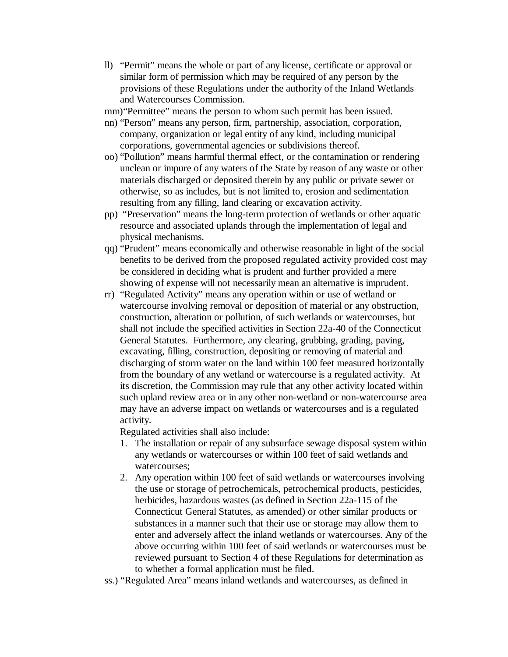- ll) "Permit" means the whole or part of any license, certificate or approval or similar form of permission which may be required of any person by the provisions of these Regulations under the authority of the Inland Wetlands and Watercourses Commission.
- mm) "Permittee" means the person to whom such permit has been issued.
- nn) "Person" means any person, firm, partnership, association, corporation, company, organization or legal entity of any kind, including municipal corporations, governmental agencies or subdivisions thereof.
- oo) "Pollution" means harmful thermal effect, or the contamination or rendering unclean or impure of any waters of the State by reason of any waste or other materials discharged or deposited therein by any public or private sewer or otherwise, so as includes, but is not limited to, erosion and sedimentation resulting from any filling, land clearing or excavation activity.
- pp) "Preservation" means the long-term protection of wetlands or other aquatic resource and associated uplands through the implementation of legal and physical mechanisms.
- qq) "Prudent" means economically and otherwise reasonable in light of the social benefits to be derived from the proposed regulated activity provided cost may be considered in deciding what is prudent and further provided a mere showing of expense will not necessarily mean an alternative is imprudent.
- rr) "Regulated Activity" means any operation within or use of wetland or watercourse involving removal or deposition of material or any obstruction, construction, alteration or pollution, of such wetlands or watercourses, but shall not include the specified activities in Section 22a-40 of the Connecticut General Statutes. Furthermore, any clearing, grubbing, grading, paving, excavating, filling, construction, depositing or removing of material and discharging of storm water on the land within 100 feet measured horizontally from the boundary of any wetland or watercourse is a regulated activity. At its discretion, the Commission may rule that any other activity located within such upland review area or in any other non-wetland or non-watercourse area may have an adverse impact on wetlands or watercourses and is a regulated activity.

Regulated activities shall also include:

- 1. The installation or repair of any subsurface sewage disposal system within any wetlands or watercourses or within 100 feet of said wetlands and watercourses;
- 2. Any operation within 100 feet of said wetlands or watercourses involving the use or storage of petrochemicals, petrochemical products, pesticides, herbicides, hazardous wastes (as defined in Section 22a-115 of the Connecticut General Statutes, as amended) or other similar products or substances in a manner such that their use or storage may allow them to enter and adversely affect the inland wetlands or watercourses. Any of the above occurring within 100 feet of said wetlands or watercourses must be reviewed pursuant to Section 4 of these Regulations for determination as to whether a formal application must be filed.
- ss.) "Regulated Area" means inland wetlands and watercourses, as defined in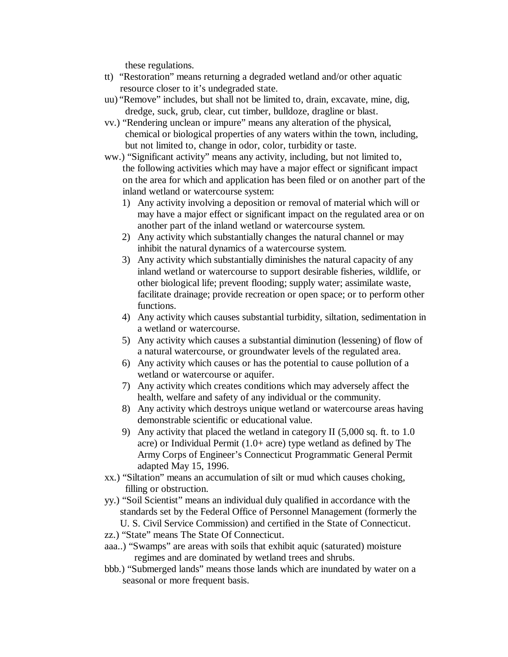these regulations.

- tt) "Restoration" means returning a degraded wetland and/or other aquatic resource closer to it's undegraded state.
- uu) "Remove" includes, but shall not be limited to, drain, excavate, mine, dig, dredge, suck, grub, clear, cut timber, bulldoze, dragline or blast.
- vv.) "Rendering unclean or impure" means any alteration of the physical, chemical or biological properties of any waters within the town, including, but not limited to, change in odor, color, turbidity or taste.
- ww.) "Significant activity" means any activity, including, but not limited to, the following activities which may have a major effect or significant impact on the area for which and application has been filed or on another part of the inland wetland or watercourse system:
	- 1) Any activity involving a deposition or removal of material which will or may have a major effect or significant impact on the regulated area or on another part of the inland wetland or watercourse system.
	- 2) Any activity which substantially changes the natural channel or may inhibit the natural dynamics of a watercourse system.
	- 3) Any activity which substantially diminishes the natural capacity of any inland wetland or watercourse to support desirable fisheries, wildlife, or other biological life; prevent flooding; supply water; assimilate waste, facilitate drainage; provide recreation or open space; or to perform other functions.
	- 4) Any activity which causes substantial turbidity, siltation, sedimentation in a wetland or watercourse.
	- 5) Any activity which causes a substantial diminution (lessening) of flow of a natural watercourse, or groundwater levels of the regulated area.
	- 6) Any activity which causes or has the potential to cause pollution of a wetland or watercourse or aquifer.
	- 7) Any activity which creates conditions which may adversely affect the health, welfare and safety of any individual or the community.
	- 8) Any activity which destroys unique wetland or watercourse areas having demonstrable scientific or educational value.
	- 9) Any activity that placed the wetland in category II (5,000 sq. ft. to 1.0 acre) or Individual Permit (1.0+ acre) type wetland as defined by The Army Corps of Engineer's Connecticut Programmatic General Permit adapted May 15, 1996.
- xx.) "Siltation" means an accumulation of silt or mud which causes choking, filling or obstruction.
- yy.) "Soil Scientist" means an individual duly qualified in accordance with the standards set by the Federal Office of Personnel Management (formerly the U. S. Civil Service Commission) and certified in the State of Connecticut.
- zz.) "State" means The State Of Connecticut.
- aaa..) "Swamps" are areas with soils that exhibit aquic (saturated) moisture regimes and are dominated by wetland trees and shrubs.
- bbb.) "Submerged lands" means those lands which are inundated by water on a seasonal or more frequent basis.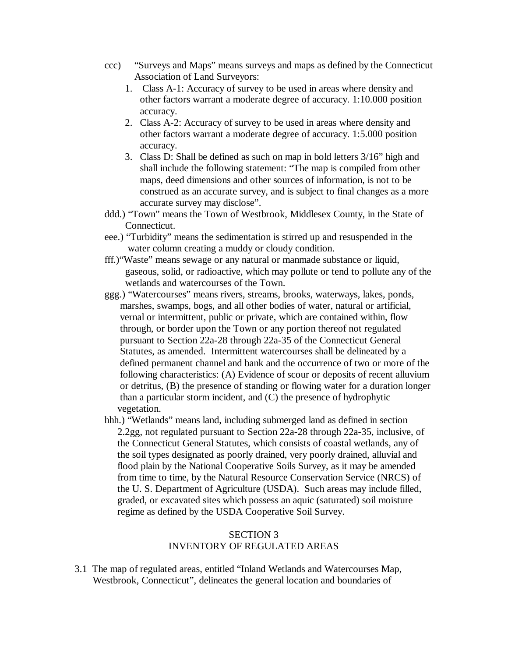- ccc) "Surveys and Maps" means surveys and maps as defined by the Connecticut Association of Land Surveyors:
	- 1. Class A-1: Accuracy of survey to be used in areas where density and other factors warrant a moderate degree of accuracy. 1:10.000 position accuracy.
	- 2. Class A-2: Accuracy of survey to be used in areas where density and other factors warrant a moderate degree of accuracy. 1:5.000 position accuracy.
	- 3. Class D: Shall be defined as such on map in bold letters 3/16" high and shall include the following statement: "The map is compiled from other maps, deed dimensions and other sources of information, is not to be construed as an accurate survey, and is subject to final changes as a more accurate survey may disclose".
- ddd.) "Town" means the Town of Westbrook, Middlesex County, in the State of Connecticut.
- eee.) "Turbidity" means the sedimentation is stirred up and resuspended in the water column creating a muddy or cloudy condition.
- fff.)"Waste" means sewage or any natural or manmade substance or liquid, gaseous, solid, or radioactive, which may pollute or tend to pollute any of the wetlands and watercourses of the Town.
- ggg.) "Watercourses" means rivers, streams, brooks, waterways, lakes, ponds, marshes, swamps, bogs, and all other bodies of water, natural or artificial, vernal or intermittent, public or private, which are contained within, flow through, or border upon the Town or any portion thereof not regulated pursuant to Section 22a-28 through 22a-35 of the Connecticut General Statutes, as amended. Intermittent watercourses shall be delineated by a defined permanent channel and bank and the occurrence of two or more of the following characteristics: (A) Evidence of scour or deposits of recent alluvium or detritus, (B) the presence of standing or flowing water for a duration longer than a particular storm incident, and (C) the presence of hydrophytic vegetation.
- hhh.) "Wetlands" means land, including submerged land as defined in section 2.2gg, not regulated pursuant to Section 22a-28 through 22a-35, inclusive, of the Connecticut General Statutes, which consists of coastal wetlands, any of the soil types designated as poorly drained, very poorly drained, alluvial and flood plain by the National Cooperative Soils Survey, as it may be amended from time to time, by the Natural Resource Conservation Service (NRCS) of the U. S. Department of Agriculture (USDA). Such areas may include filled, graded, or excavated sites which possess an aquic (saturated) soil moisture regime as defined by the USDA Cooperative Soil Survey.

### SECTION 3 INVENTORY OF REGULATED AREAS

3.1 The map of regulated areas, entitled "Inland Wetlands and Watercourses Map, Westbrook, Connecticut", delineates the general location and boundaries of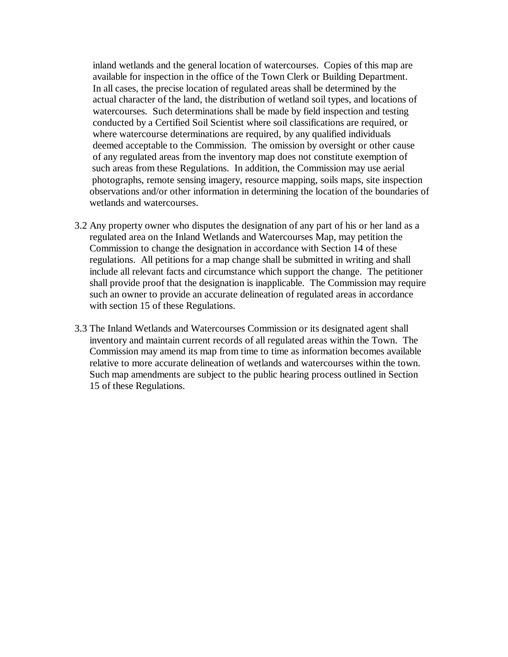inland wetlands and the general location of watercourses. Copies of this map are available for inspection in the office of the Town Clerk or Building Department. In all cases, the precise location of regulated areas shall be determined by the actual character of the land, the distribution of wetland soil types, and locations of watercourses. Such determinations shall be made by field inspection and testing conducted by a Certified Soil Scientist where soil classifications are required, or where watercourse determinations are required, by any qualified individuals deemed acceptable to the Commission. The omission by oversight or other cause of any regulated areas from the inventory map does not constitute exemption of such areas from these Regulations. In addition, the Commission may use aerial photographs, remote sensing imagery, resource mapping, soils maps, site inspection observations and/or other information in determining the location of the boundaries of wetlands and watercourses.

- 3.2 Any property owner who disputes the designation of any part of his or her land as a regulated area on the Inland Wetlands and Watercourses Map, may petition the Commission to change the designation in accordance with Section 14 of these regulations. All petitions for a map change shall be submitted in writing and shall include all relevant facts and circumstance which support the change. The petitioner shall provide proof that the designation is inapplicable. The Commission may require such an owner to provide an accurate delineation of regulated areas in accordance with section 15 of these Regulations.
- 3.3 The Inland Wetlands and Watercourses Commission or its designated agent shall inventory and maintain current records of all regulated areas within the Town. The Commission may amend its map from time to time as information becomes available relative to more accurate delineation of wetlands and watercourses within the town. Such map amendments are subject to the public hearing process outlined in Section 15 of these Regulations.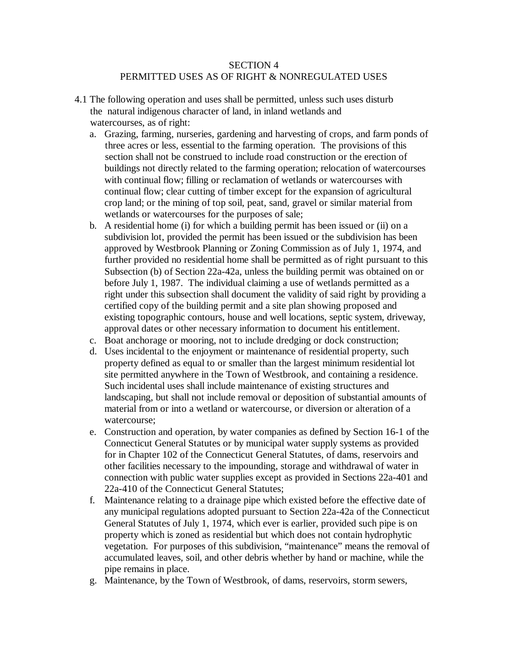## SECTION 4 PERMITTED USES AS OF RIGHT & NONREGULATED USES

- 4.1 The following operation and uses shall be permitted, unless such uses disturb the natural indigenous character of land, in inland wetlands and watercourses, as of right:
	- a. Grazing, farming, nurseries, gardening and harvesting of crops, and farm ponds of three acres or less, essential to the farming operation. The provisions of this section shall not be construed to include road construction or the erection of buildings not directly related to the farming operation; relocation of watercourses with continual flow; filling or reclamation of wetlands or watercourses with continual flow; clear cutting of timber except for the expansion of agricultural crop land; or the mining of top soil, peat, sand, gravel or similar material from wetlands or watercourses for the purposes of sale;
	- b. A residential home (i) for which a building permit has been issued or (ii) on a subdivision lot, provided the permit has been issued or the subdivision has been approved by Westbrook Planning or Zoning Commission as of July 1, 1974, and further provided no residential home shall be permitted as of right pursuant to this Subsection (b) of Section 22a-42a, unless the building permit was obtained on or before July 1, 1987. The individual claiming a use of wetlands permitted as a right under this subsection shall document the validity of said right by providing a certified copy of the building permit and a site plan showing proposed and existing topographic contours, house and well locations, septic system, driveway, approval dates or other necessary information to document his entitlement.
	- c. Boat anchorage or mooring, not to include dredging or dock construction;
	- d. Uses incidental to the enjoyment or maintenance of residential property, such property defined as equal to or smaller than the largest minimum residential lot site permitted anywhere in the Town of Westbrook, and containing a residence. Such incidental uses shall include maintenance of existing structures and landscaping, but shall not include removal or deposition of substantial amounts of material from or into a wetland or watercourse, or diversion or alteration of a watercourse;
	- e. Construction and operation, by water companies as defined by Section 16-1 of the Connecticut General Statutes or by municipal water supply systems as provided for in Chapter 102 of the Connecticut General Statutes, of dams, reservoirs and other facilities necessary to the impounding, storage and withdrawal of water in connection with public water supplies except as provided in Sections 22a-401 and 22a-410 of the Connecticut General Statutes;
	- f. Maintenance relating to a drainage pipe which existed before the effective date of any municipal regulations adopted pursuant to Section 22a-42a of the Connecticut General Statutes of July 1, 1974, which ever is earlier, provided such pipe is on property which is zoned as residential but which does not contain hydrophytic vegetation. For purposes of this subdivision, "maintenance" means the removal of accumulated leaves, soil, and other debris whether by hand or machine, while the pipe remains in place.
	- g. Maintenance, by the Town of Westbrook, of dams, reservoirs, storm sewers,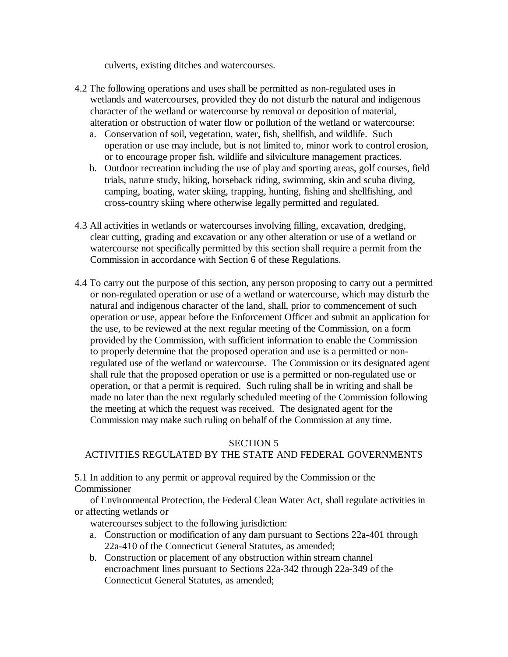culverts, existing ditches and watercourses.

- 4.2 The following operations and uses shall be permitted as non-regulated uses in wetlands and watercourses, provided they do not disturb the natural and indigenous character of the wetland or watercourse by removal or deposition of material, alteration or obstruction of water flow or pollution of the wetland or watercourse:
	- a. Conservation of soil, vegetation, water, fish, shellfish, and wildlife. Such operation or use may include, but is not limited to, minor work to control erosion, or to encourage proper fish, wildlife and silviculture management practices.
	- b. Outdoor recreation including the use of play and sporting areas, golf courses, field trials, nature study, hiking, horseback riding, swimming, skin and scuba diving, camping, boating, water skiing, trapping, hunting, fishing and shellfishing, and cross-country skiing where otherwise legally permitted and regulated.
- 4.3 All activities in wetlands or watercourses involving filling, excavation, dredging, clear cutting, grading and excavation or any other alteration or use of a wetland or watercourse not specifically permitted by this section shall require a permit from the Commission in accordance with Section 6 of these Regulations.
- 4.4 To carry out the purpose of this section, any person proposing to carry out a permitted or non-regulated operation or use of a wetland or watercourse, which may disturb the natural and indigenous character of the land, shall, prior to commencement of such operation or use, appear before the Enforcement Officer and submit an application for the use, to be reviewed at the next regular meeting of the Commission, on a form provided by the Commission, with sufficient information to enable the Commission to properly determine that the proposed operation and use is a permitted or non regulated use of the wetland or watercourse. The Commission or its designated agent shall rule that the proposed operation or use is a permitted or non-regulated use or operation, or that a permit is required. Such ruling shall be in writing and shall be made no later than the next regularly scheduled meeting of the Commission following the meeting at which the request was received. The designated agent for the Commission may make such ruling on behalf of the Commission at any time.

## SECTION 5

# ACTIVITIES REGULATED BY THE STATE AND FEDERAL GOVERNMENTS

5.1 In addition to any permit or approval required by the Commission or the Commissioner

 of Environmental Protection, the Federal Clean Water Act, shall regulate activities in or affecting wetlands or

watercourses subject to the following jurisdiction:

- a. Construction or modification of any dam pursuant to Sections 22a-401 through 22a-410 of the Connecticut General Statutes, as amended;
- b. Construction or placement of any obstruction within stream channel encroachment lines pursuant to Sections 22a-342 through 22a-349 of the Connecticut General Statutes, as amended;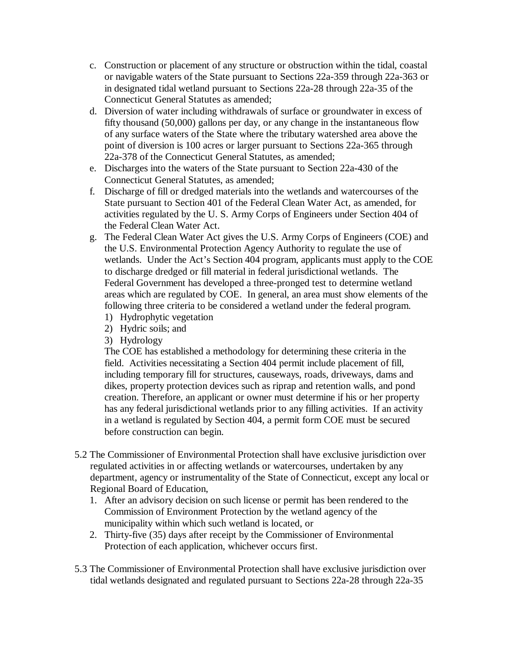- c. Construction or placement of any structure or obstruction within the tidal, coastal or navigable waters of the State pursuant to Sections 22a-359 through 22a-363 or in designated tidal wetland pursuant to Sections 22a-28 through 22a-35 of the Connecticut General Statutes as amended;
- d. Diversion of water including withdrawals of surface or groundwater in excess of fifty thousand (50,000) gallons per day, or any change in the instantaneous flow of any surface waters of the State where the tributary watershed area above the point of diversion is 100 acres or larger pursuant to Sections 22a-365 through 22a-378 of the Connecticut General Statutes, as amended;
- e. Discharges into the waters of the State pursuant to Section 22a-430 of the Connecticut General Statutes, as amended;
- f. Discharge of fill or dredged materials into the wetlands and watercourses of the State pursuant to Section 401 of the Federal Clean Water Act, as amended, for activities regulated by the U. S. Army Corps of Engineers under Section 404 of the Federal Clean Water Act.
- g. The Federal Clean Water Act gives the U.S. Army Corps of Engineers (COE) and the U.S. Environmental Protection Agency Authority to regulate the use of wetlands. Under the Act's Section 404 program, applicants must apply to the COE to discharge dredged or fill material in federal jurisdictional wetlands. The Federal Government has developed a three-pronged test to determine wetland areas which are regulated by COE. In general, an area must show elements of the following three criteria to be considered a wetland under the federal program.
	- 1) Hydrophytic vegetation
	- 2) Hydric soils; and
	- 3) Hydrology

The COE has established a methodology for determining these criteria in the field. Activities necessitating a Section 404 permit include placement of fill, including temporary fill for structures, causeways, roads, driveways, dams and dikes, property protection devices such as riprap and retention walls, and pond creation. Therefore, an applicant or owner must determine if his or her property has any federal jurisdictional wetlands prior to any filling activities. If an activity in a wetland is regulated by Section 404, a permit form COE must be secured before construction can begin.

- 5.2 The Commissioner of Environmental Protection shall have exclusive jurisdiction over regulated activities in or affecting wetlands or watercourses, undertaken by any department, agency or instrumentality of the State of Connecticut, except any local or Regional Board of Education,
	- 1. After an advisory decision on such license or permit has been rendered to the Commission of Environment Protection by the wetland agency of the municipality within which such wetland is located, or
	- 2. Thirty-five (35) days after receipt by the Commissioner of Environmental Protection of each application, whichever occurs first.
- 5.3 The Commissioner of Environmental Protection shall have exclusive jurisdiction over tidal wetlands designated and regulated pursuant to Sections 22a-28 through 22a-35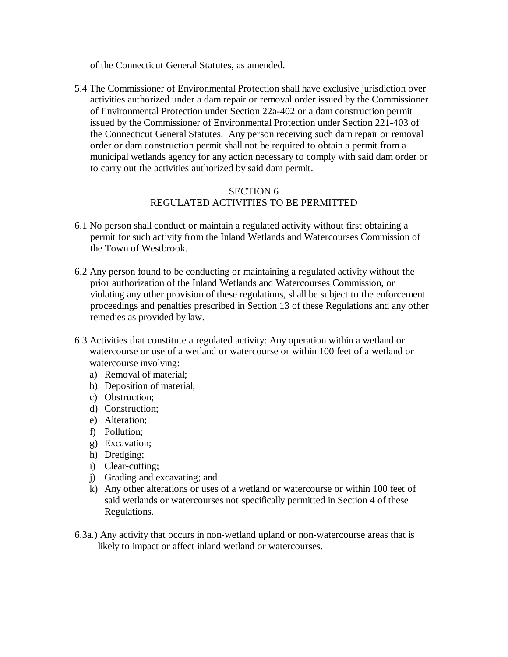of the Connecticut General Statutes, as amended.

5.4 The Commissioner of Environmental Protection shall have exclusive jurisdiction over activities authorized under a dam repair or removal order issued by the Commissioner of Environmental Protection under Section 22a-402 or a dam construction permit issued by the Commissioner of Environmental Protection under Section 221-403 of the Connecticut General Statutes. Any person receiving such dam repair or removal order or dam construction permit shall not be required to obtain a permit from a municipal wetlands agency for any action necessary to comply with said dam order or to carry out the activities authorized by said dam permit.

# SECTION 6 REGULATED ACTIVITIES TO BE PERMITTED

- 6.1 No person shall conduct or maintain a regulated activity without first obtaining a permit for such activity from the Inland Wetlands and Watercourses Commission of the Town of Westbrook.
- 6.2 Any person found to be conducting or maintaining a regulated activity without the prior authorization of the Inland Wetlands and Watercourses Commission, or violating any other provision of these regulations, shall be subject to the enforcement proceedings and penalties prescribed in Section 13 of these Regulations and any other remedies as provided by law.
- 6.3 Activities that constitute a regulated activity: Any operation within a wetland or watercourse or use of a wetland or watercourse or within 100 feet of a wetland or watercourse involving:
	- a) Removal of material;
	- b) Deposition of material;
	- c) Obstruction;
	- d) Construction;
	- e) Alteration;
	- f) Pollution;
	- g) Excavation;
	- h) Dredging;
	- i) Clear-cutting;
	- j) Grading and excavating; and
	- k) Any other alterations or uses of a wetland or watercourse or within 100 feet of said wetlands or watercourses not specifically permitted in Section 4 of these Regulations.
- 6.3a.) Any activity that occurs in non-wetland upland or non-watercourse areas that is likely to impact or affect inland wetland or watercourses.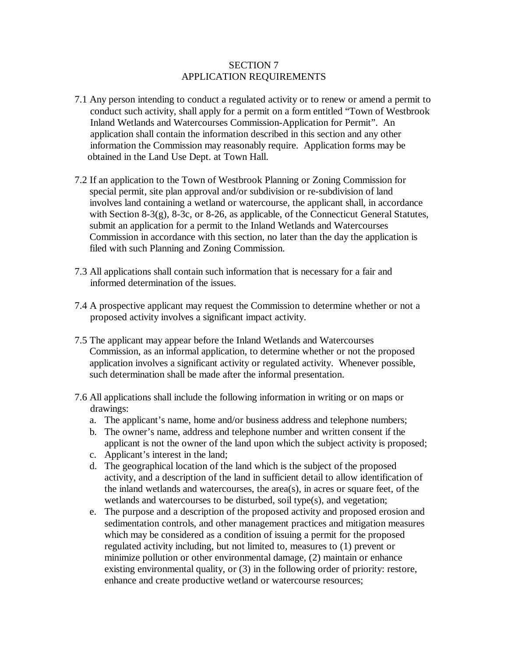## SECTION 7 APPLICATION REQUIREMENTS

- 7.1 Any person intending to conduct a regulated activity or to renew or amend a permit to conduct such activity, shall apply for a permit on a form entitled "Town of Westbrook Inland Wetlands and Watercourses Commission-Application for Permit". An application shall contain the information described in this section and any other information the Commission may reasonably require. Application forms may be obtained in the Land Use Dept. at Town Hall.
- 7.2 If an application to the Town of Westbrook Planning or Zoning Commission for special permit, site plan approval and/or subdivision or re-subdivision of land involves land containing a wetland or watercourse, the applicant shall, in accordance with Section 8-3(g), 8-3c, or 8-26, as applicable, of the Connecticut General Statutes, submit an application for a permit to the Inland Wetlands and Watercourses Commission in accordance with this section, no later than the day the application is filed with such Planning and Zoning Commission.
- 7.3 All applications shall contain such information that is necessary for a fair and informed determination of the issues.
- 7.4 A prospective applicant may request the Commission to determine whether or not a proposed activity involves a significant impact activity.
- 7.5 The applicant may appear before the Inland Wetlands and Watercourses Commission, as an informal application, to determine whether or not the proposed application involves a significant activity or regulated activity. Whenever possible, such determination shall be made after the informal presentation.
- 7.6 All applications shall include the following information in writing or on maps or drawings:
	- a. The applicant's name, home and/or business address and telephone numbers;
	- b. The owner's name, address and telephone number and written consent if the applicant is not the owner of the land upon which the subject activity is proposed;
	- c. Applicant's interest in the land;
	- d. The geographical location of the land which is the subject of the proposed activity, and a description of the land in sufficient detail to allow identification of the inland wetlands and watercourses, the area(s), in acres or square feet, of the wetlands and watercourses to be disturbed, soil type(s), and vegetation;
	- e. The purpose and a description of the proposed activity and proposed erosion and sedimentation controls, and other management practices and mitigation measures which may be considered as a condition of issuing a permit for the proposed regulated activity including, but not limited to, measures to (1) prevent or minimize pollution or other environmental damage, (2) maintain or enhance existing environmental quality, or (3) in the following order of priority: restore, enhance and create productive wetland or watercourse resources;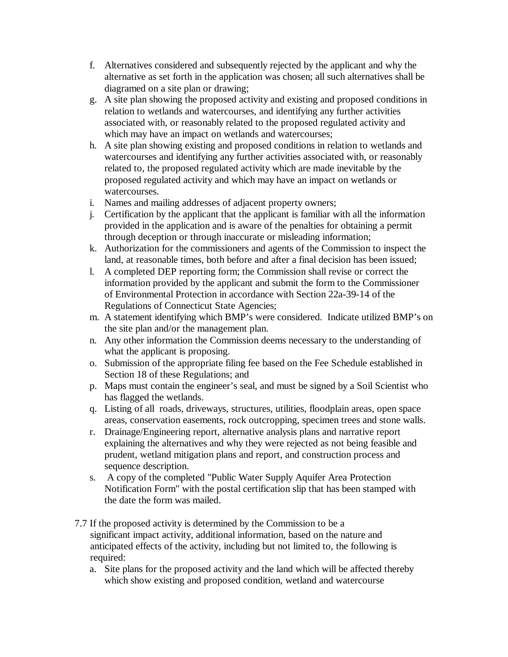- f. Alternatives considered and subsequently rejected by the applicant and why the alternative as set forth in the application was chosen; all such alternatives shall be diagramed on a site plan or drawing;
- g. A site plan showing the proposed activity and existing and proposed conditions in relation to wetlands and watercourses, and identifying any further activities associated with, or reasonably related to the proposed regulated activity and which may have an impact on wetlands and watercourses;
- h. A site plan showing existing and proposed conditions in relation to wetlands and watercourses and identifying any further activities associated with, or reasonably related to, the proposed regulated activity which are made inevitable by the proposed regulated activity and which may have an impact on wetlands or watercourses.
- i. Names and mailing addresses of adjacent property owners;
- j. Certification by the applicant that the applicant is familiar with all the information provided in the application and is aware of the penalties for obtaining a permit through deception or through inaccurate or misleading information;
- k. Authorization for the commissioners and agents of the Commission to inspect the land, at reasonable times, both before and after a final decision has been issued;
- l. A completed DEP reporting form; the Commission shall revise or correct the information provided by the applicant and submit the form to the Commissioner of Environmental Protection in accordance with Section 22a-39-14 of the Regulations of Connecticut State Agencies;
- m. A statement identifying which BMP's were considered. Indicate utilized BMP's on the site plan and/or the management plan.
- n. Any other information the Commission deems necessary to the understanding of what the applicant is proposing.
- o. Submission of the appropriate filing fee based on the Fee Schedule established in Section 18 of these Regulations; and
- p. Maps must contain the engineer's seal, and must be signed by a Soil Scientist who has flagged the wetlands.
- q. Listing of all roads, driveways, structures, utilities, floodplain areas, open space areas, conservation easements, rock outcropping, specimen trees and stone walls.
- r. Drainage/Engineering report, alternative analysis plans and narrative report explaining the alternatives and why they were rejected as not being feasible and prudent, wetland mitigation plans and report, and construction process and sequence description.
- s. A copy of the completed "Public Water Supply Aquifer Area Protection Notification Form" with the postal certification slip that has been stamped with the date the form was mailed.
- 7.7 If the proposed activity is determined by the Commission to be a significant impact activity, additional information, based on the nature and anticipated effects of the activity, including but not limited to, the following is required:
	- a. Site plans for the proposed activity and the land which will be affected thereby which show existing and proposed condition, wetland and watercourse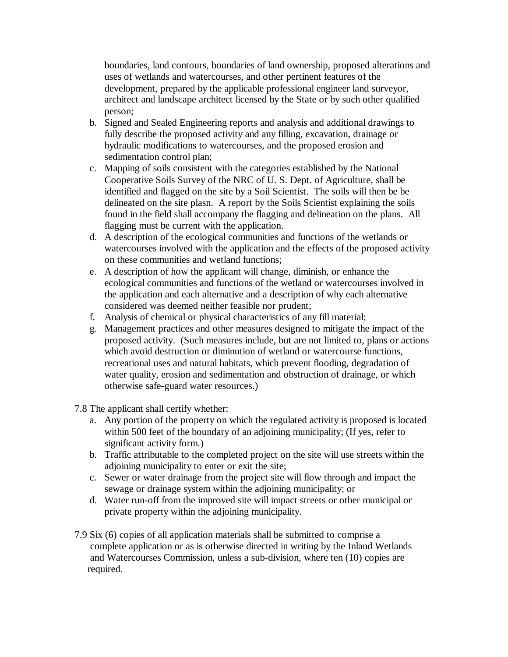boundaries, land contours, boundaries of land ownership, proposed alterations and uses of wetlands and watercourses, and other pertinent features of the development, prepared by the applicable professional engineer land surveyor, architect and landscape architect licensed by the State or by such other qualified person;

- b. Signed and Sealed Engineering reports and analysis and additional drawings to fully describe the proposed activity and any filling, excavation, drainage or hydraulic modifications to watercourses, and the proposed erosion and sedimentation control plan;
- c. Mapping of soils consistent with the categories established by the National Cooperative Soils Survey of the NRC of U. S. Dept. of Agriculture, shall be identified and flagged on the site by a Soil Scientist. The soils will then be be delineated on the site plasn. A report by the Soils Scientist explaining the soils found in the field shall accompany the flagging and delineation on the plans. All flagging must be current with the application.
- d. A description of the ecological communities and functions of the wetlands or watercourses involved with the application and the effects of the proposed activity on these communities and wetland functions;
- e. A description of how the applicant will change, diminish, or enhance the ecological communities and functions of the wetland or watercourses involved in the application and each alternative and a description of why each alternative considered was deemed neither feasible nor prudent;
- f. Analysis of chemical or physical characteristics of any fill material;
- g. Management practices and other measures designed to mitigate the impact of the proposed activity. (Such measures include, but are not limited to, plans or actions which avoid destruction or diminution of wetland or watercourse functions, recreational uses and natural habitats, which prevent flooding, degradation of water quality, erosion and sedimentation and obstruction of drainage, or which otherwise safe-guard water resources.)

7.8 The applicant shall certify whether:

- a. Any portion of the property on which the regulated activity is proposed is located within 500 feet of the boundary of an adjoining municipality; (If yes, refer to significant activity form.)
- b. Traffic attributable to the completed project on the site will use streets within the adjoining municipality to enter or exit the site;
- c. Sewer or water drainage from the project site will flow through and impact the sewage or drainage system within the adjoining municipality; or
- d. Water run-off from the improved site will impact streets or other municipal or private property within the adjoining municipality.
- 7.9 Six (6) copies of all application materials shall be submitted to comprise a complete application or as is otherwise directed in writing by the Inland Wetlands and Watercourses Commission, unless a sub-division, where ten (10) copies are required.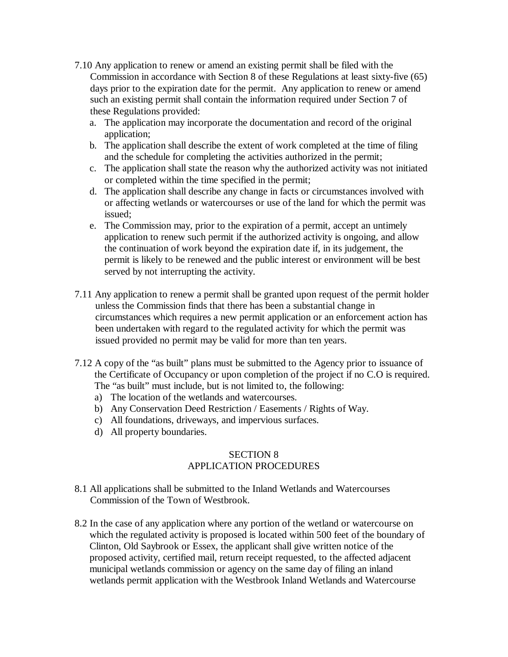- 7.10 Any application to renew or amend an existing permit shall be filed with the Commission in accordance with Section 8 of these Regulations at least sixty-five (65) days prior to the expiration date for the permit. Any application to renew or amend such an existing permit shall contain the information required under Section 7 of these Regulations provided:
	- a. The application may incorporate the documentation and record of the original application;
	- b. The application shall describe the extent of work completed at the time of filing and the schedule for completing the activities authorized in the permit;
	- c. The application shall state the reason why the authorized activity was not initiated or completed within the time specified in the permit;
	- d. The application shall describe any change in facts or circumstances involved with or affecting wetlands or watercourses or use of the land for which the permit was issued;
	- e. The Commission may, prior to the expiration of a permit, accept an untimely application to renew such permit if the authorized activity is ongoing, and allow the continuation of work beyond the expiration date if, in its judgement, the permit is likely to be renewed and the public interest or environment will be best served by not interrupting the activity.
- 7.11 Any application to renew a permit shall be granted upon request of the permit holder unless the Commission finds that there has been a substantial change in circumstances which requires a new permit application or an enforcement action has been undertaken with regard to the regulated activity for which the permit was issued provided no permit may be valid for more than ten years.
- 7.12 A copy of the "as built" plans must be submitted to the Agency prior to issuance of the Certificate of Occupancy or upon completion of the project if no C.O is required. The "as built" must include, but is not limited to, the following:
	- a) The location of the wetlands and watercourses.
	- b) Any Conservation Deed Restriction / Easements / Rights of Way.
	- c) All foundations, driveways, and impervious surfaces.
	- d) All property boundaries.

# SECTION 8 APPLICATION PROCEDURES

- 8.1 All applications shall be submitted to the Inland Wetlands and Watercourses Commission of the Town of Westbrook.
- 8.2 In the case of any application where any portion of the wetland or watercourse on which the regulated activity is proposed is located within 500 feet of the boundary of Clinton, Old Saybrook or Essex, the applicant shall give written notice of the proposed activity, certified mail, return receipt requested, to the affected adjacent municipal wetlands commission or agency on the same day of filing an inland wetlands permit application with the Westbrook Inland Wetlands and Watercourse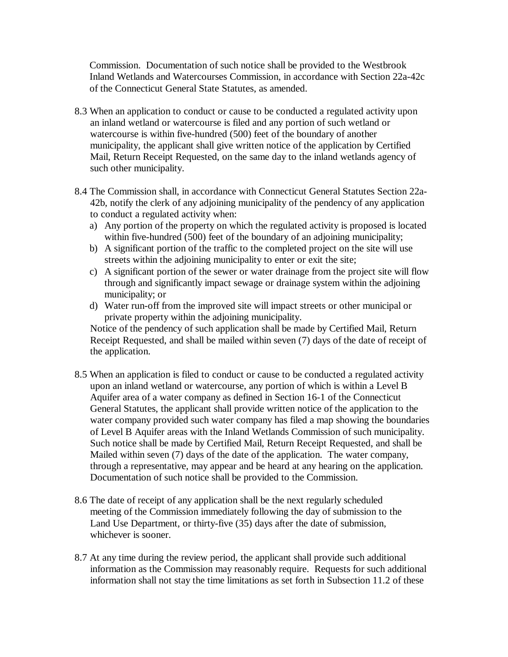Commission. Documentation of such notice shall be provided to the Westbrook Inland Wetlands and Watercourses Commission, in accordance with Section 22a-42c of the Connecticut General State Statutes, as amended.

- 8.3 When an application to conduct or cause to be conducted a regulated activity upon an inland wetland or watercourse is filed and any portion of such wetland or watercourse is within five-hundred (500) feet of the boundary of another municipality, the applicant shall give written notice of the application by Certified Mail, Return Receipt Requested, on the same day to the inland wetlands agency of such other municipality.
- 8.4 The Commission shall, in accordance with Connecticut General Statutes Section 22a- 42b, notify the clerk of any adjoining municipality of the pendency of any application to conduct a regulated activity when:
	- a) Any portion of the property on which the regulated activity is proposed is located within five-hundred (500) feet of the boundary of an adjoining municipality;
	- b) A significant portion of the traffic to the completed project on the site will use streets within the adjoining municipality to enter or exit the site;
	- c) A significant portion of the sewer or water drainage from the project site will flow through and significantly impact sewage or drainage system within the adjoining municipality; or
	- d) Water run-off from the improved site will impact streets or other municipal or private property within the adjoining municipality.

 Notice of the pendency of such application shall be made by Certified Mail, Return Receipt Requested, and shall be mailed within seven (7) days of the date of receipt of the application.

- 8.5 When an application is filed to conduct or cause to be conducted a regulated activity upon an inland wetland or watercourse, any portion of which is within a Level B Aquifer area of a water company as defined in Section 16-1 of the Connecticut General Statutes, the applicant shall provide written notice of the application to the water company provided such water company has filed a map showing the boundaries of Level B Aquifer areas with the Inland Wetlands Commission of such municipality. Such notice shall be made by Certified Mail, Return Receipt Requested, and shall be Mailed within seven (7) days of the date of the application. The water company, through a representative, may appear and be heard at any hearing on the application. Documentation of such notice shall be provided to the Commission.
- 8.6 The date of receipt of any application shall be the next regularly scheduled meeting of the Commission immediately following the day of submission to the Land Use Department, or thirty-five (35) days after the date of submission, whichever is sooner.
- 8.7 At any time during the review period, the applicant shall provide such additional information as the Commission may reasonably require. Requests for such additional information shall not stay the time limitations as set forth in Subsection 11.2 of these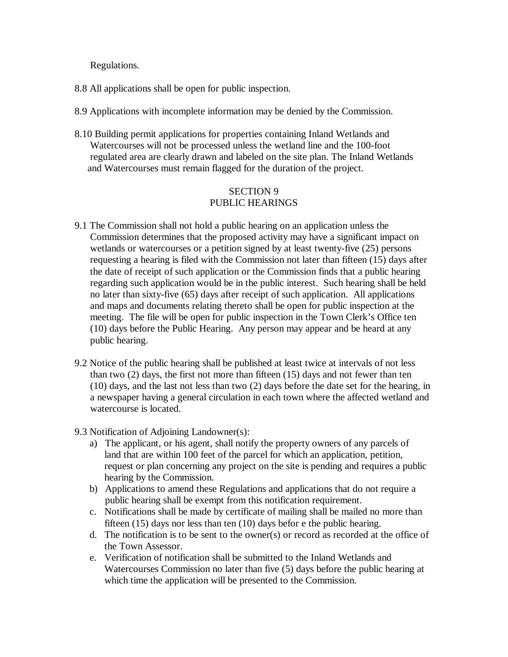Regulations.

- 8.8 All applications shall be open for public inspection.
- 8.9 Applications with incomplete information may be denied by the Commission.
- 8.10 Building permit applications for properties containing Inland Wetlands and Watercourses will not be processed unless the wetland line and the 100-foot regulated area are clearly drawn and labeled on the site plan. The Inland Wetlands and Watercourses must remain flagged for the duration of the project.

# SECTION 9 PUBLIC HEARINGS

- 9.1 The Commission shall not hold a public hearing on an application unless the Commission determines that the proposed activity may have a significant impact on wetlands or watercourses or a petition signed by at least twenty-five (25) persons requesting a hearing is filed with the Commission not later than fifteen (15) days after the date of receipt of such application or the Commission finds that a public hearing regarding such application would be in the public interest. Such hearing shall be held no later than sixty-five (65) days after receipt of such application. All applications and maps and documents relating thereto shall be open for public inspection at the meeting. The file will be open for public inspection in the Town Clerk's Office ten (10) days before the Public Hearing. Any person may appear and be heard at any public hearing.
- 9.2 Notice of the public hearing shall be published at least twice at intervals of not less than two (2) days, the first not more than fifteen (15) days and not fewer than ten (10) days, and the last not less than two (2) days before the date set for the hearing, in a newspaper having a general circulation in each town where the affected wetland and watercourse is located.
- 9.3 Notification of Adjoining Landowner(s):
	- a) The applicant, or his agent, shall notify the property owners of any parcels of land that are within 100 feet of the parcel for which an application, petition, request or plan concerning any project on the site is pending and requires a public hearing by the Commission.
	- b) Applications to amend these Regulations and applications that do not require a public hearing shall be exempt from this notification requirement.
	- c. Notifications shall be made by certificate of mailing shall be mailed no more than fifteen (15) days nor less than ten (10) days befor e the public hearing.
	- d. The notification is to be sent to the owner(s) or record as recorded at the office of the Town Assessor.
	- e. Verification of notification shall be submitted to the Inland Wetlands and Watercourses Commission no later than five (5) days before the public hearing at which time the application will be presented to the Commission.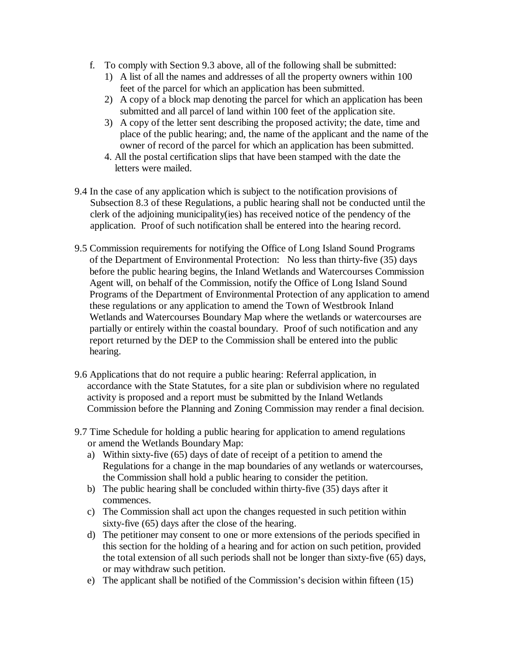- f. To comply with Section 9.3 above, all of the following shall be submitted:
	- 1) A list of all the names and addresses of all the property owners within 100 feet of the parcel for which an application has been submitted.
	- 2) A copy of a block map denoting the parcel for which an application has been submitted and all parcel of land within 100 feet of the application site.
	- 3) A copy of the letter sent describing the proposed activity; the date, time and place of the public hearing; and, the name of the applicant and the name of the owner of record of the parcel for which an application has been submitted.
	- 4. All the postal certification slips that have been stamped with the date the letters were mailed.
- 9.4 In the case of any application which is subject to the notification provisions of Subsection 8.3 of these Regulations, a public hearing shall not be conducted until the clerk of the adjoining municipality(ies) has received notice of the pendency of the application. Proof of such notification shall be entered into the hearing record.
- 9.5 Commission requirements for notifying the Office of Long Island Sound Programs of the Department of Environmental Protection: No less than thirty-five (35) days before the public hearing begins, the Inland Wetlands and Watercourses Commission Agent will, on behalf of the Commission, notify the Office of Long Island Sound Programs of the Department of Environmental Protection of any application to amend these regulations or any application to amend the Town of Westbrook Inland Wetlands and Watercourses Boundary Map where the wetlands or watercourses are partially or entirely within the coastal boundary. Proof of such notification and any report returned by the DEP to the Commission shall be entered into the public hearing.
- 9.6 Applications that do not require a public hearing: Referral application, in accordance with the State Statutes, for a site plan or subdivision where no regulated activity is proposed and a report must be submitted by the Inland Wetlands Commission before the Planning and Zoning Commission may render a final decision.
- 9.7 Time Schedule for holding a public hearing for application to amend regulations or amend the Wetlands Boundary Map:
	- a) Within sixty-five (65) days of date of receipt of a petition to amend the Regulations for a change in the map boundaries of any wetlands or watercourses, the Commission shall hold a public hearing to consider the petition.
	- b) The public hearing shall be concluded within thirty-five (35) days after it commences.
	- c) The Commission shall act upon the changes requested in such petition within sixty-five (65) days after the close of the hearing.
	- d) The petitioner may consent to one or more extensions of the periods specified in this section for the holding of a hearing and for action on such petition, provided the total extension of all such periods shall not be longer than sixty-five (65) days, or may withdraw such petition.
	- e) The applicant shall be notified of the Commission's decision within fifteen (15)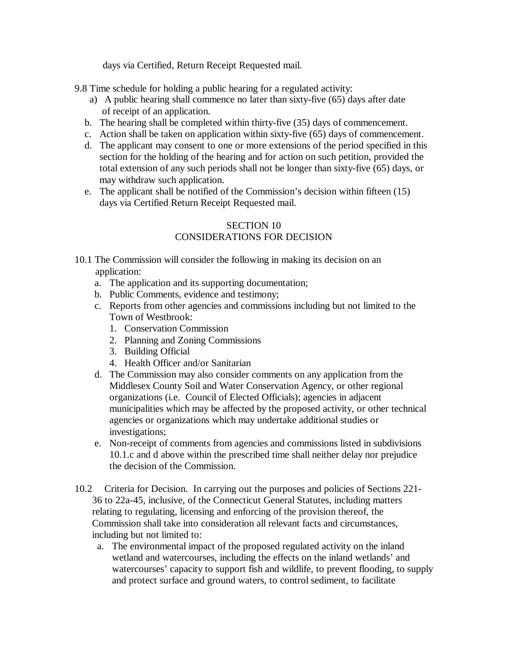days via Certified, Return Receipt Requested mail.

9.8 Time schedule for holding a public hearing for a regulated activity:

- a) A public hearing shall commence no later than sixty-five (65) days after date of receipt of an application.
- b. The hearing shall be completed within thirty-five (35) days of commencement.
- c. Action shall be taken on application within sixty-five (65) days of commencement.
- d. The applicant may consent to one or more extensions of the period specified in this section for the holding of the hearing and for action on such petition, provided the total extension of any such periods shall not be longer than sixty-five (65) days, or may withdraw such application.
- e. The applicant shall be notified of the Commission's decision within fifteen (15) days via Certified Return Receipt Requested mail.

# SECTION 10 CONSIDERATIONS FOR DECISION

- 10.1 The Commission will consider the following in making its decision on an application:
	- a. The application and its supporting documentation;
	- b. Public Comments, evidence and testimony;
	- c. Reports from other agencies and commissions including but not limited to the Town of Westbrook:
		- 1. Conservation Commission
		- 2. Planning and Zoning Commissions
		- 3. Building Official
		- 4. Health Officer and/or Sanitarian
	- d. The Commission may also consider comments on any application from the Middlesex County Soil and Water Conservation Agency, or other regional organizations (i.e. Council of Elected Officials); agencies in adjacent municipalities which may be affected by the proposed activity, or other technical agencies or organizations which may undertake additional studies or investigations;
	- e. Non-receipt of comments from agencies and commissions listed in subdivisions 10.1.c and d above within the prescribed time shall neither delay nor prejudice the decision of the Commission.
- 10.2 Criteria for Decision. In carrying out the purposes and policies of Sections 221- 36 to 22a-45, inclusive, of the Connecticut General Statutes, including matters relating to regulating, licensing and enforcing of the provision thereof, the Commission shall take into consideration all relevant facts and circumstances, including but not limited to:
	- a. The environmental impact of the proposed regulated activity on the inland wetland and watercourses, including the effects on the inland wetlands' and watercourses' capacity to support fish and wildlife, to prevent flooding, to supply and protect surface and ground waters, to control sediment, to facilitate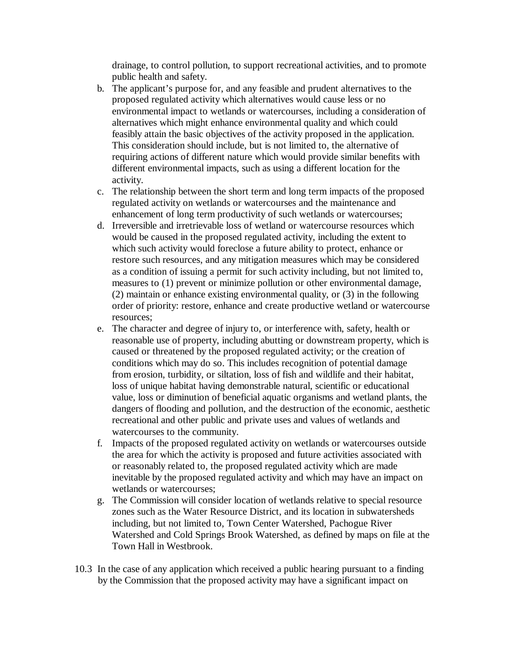drainage, to control pollution, to support recreational activities, and to promote public health and safety.

- b. The applicant's purpose for, and any feasible and prudent alternatives to the proposed regulated activity which alternatives would cause less or no environmental impact to wetlands or watercourses, including a consideration of alternatives which might enhance environmental quality and which could feasibly attain the basic objectives of the activity proposed in the application. This consideration should include, but is not limited to, the alternative of requiring actions of different nature which would provide similar benefits with different environmental impacts, such as using a different location for the activity.
- c. The relationship between the short term and long term impacts of the proposed regulated activity on wetlands or watercourses and the maintenance and enhancement of long term productivity of such wetlands or watercourses;
- d. Irreversible and irretrievable loss of wetland or watercourse resources which would be caused in the proposed regulated activity, including the extent to which such activity would foreclose a future ability to protect, enhance or restore such resources, and any mitigation measures which may be considered as a condition of issuing a permit for such activity including, but not limited to, measures to (1) prevent or minimize pollution or other environmental damage, (2) maintain or enhance existing environmental quality, or (3) in the following order of priority: restore, enhance and create productive wetland or watercourse resources;
- e. The character and degree of injury to, or interference with, safety, health or reasonable use of property, including abutting or downstream property, which is caused or threatened by the proposed regulated activity; or the creation of conditions which may do so. This includes recognition of potential damage from erosion, turbidity, or siltation, loss of fish and wildlife and their habitat, loss of unique habitat having demonstrable natural, scientific or educational value, loss or diminution of beneficial aquatic organisms and wetland plants, the dangers of flooding and pollution, and the destruction of the economic, aesthetic recreational and other public and private uses and values of wetlands and watercourses to the community.
- f. Impacts of the proposed regulated activity on wetlands or watercourses outside the area for which the activity is proposed and future activities associated with or reasonably related to, the proposed regulated activity which are made inevitable by the proposed regulated activity and which may have an impact on wetlands or watercourses;
- g. The Commission will consider location of wetlands relative to special resource zones such as the Water Resource District, and its location in subwatersheds including, but not limited to, Town Center Watershed, Pachogue River Watershed and Cold Springs Brook Watershed, as defined by maps on file at the Town Hall in Westbrook.
- 10.3 In the case of any application which received a public hearing pursuant to a finding by the Commission that the proposed activity may have a significant impact on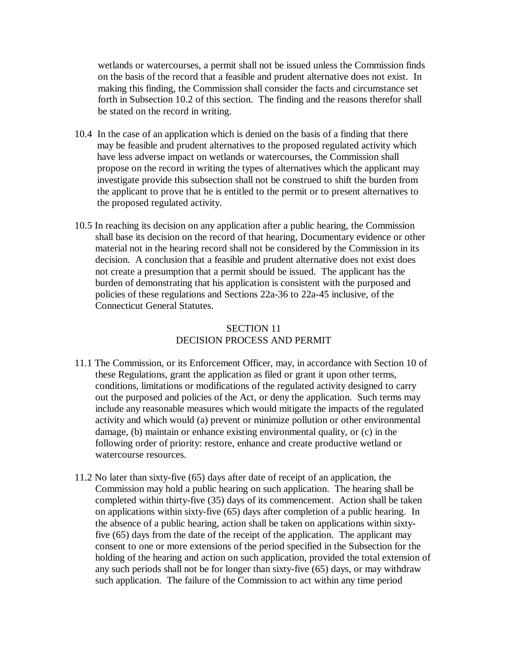wetlands or watercourses, a permit shall not be issued unless the Commission finds on the basis of the record that a feasible and prudent alternative does not exist. In making this finding, the Commission shall consider the facts and circumstance set forth in Subsection 10.2 of this section. The finding and the reasons therefor shall be stated on the record in writing.

- 10.4 In the case of an application which is denied on the basis of a finding that there may be feasible and prudent alternatives to the proposed regulated activity which have less adverse impact on wetlands or watercourses, the Commission shall propose on the record in writing the types of alternatives which the applicant may investigate provide this subsection shall not be construed to shift the burden from the applicant to prove that he is entitled to the permit or to present alternatives to the proposed regulated activity.
- 10.5 In reaching its decision on any application after a public hearing, the Commission shall base its decision on the record of that hearing, Documentary evidence or other material not in the hearing record shall not be considered by the Commission in its decision. A conclusion that a feasible and prudent alternative does not exist does not create a presumption that a permit should be issued. The applicant has the burden of demonstrating that his application is consistent with the purposed and policies of these regulations and Sections 22a-36 to 22a-45 inclusive, of the Connecticut General Statutes.

# SECTION 11 DECISION PROCESS AND PERMIT

- 11.1 The Commission, or its Enforcement Officer, may, in accordance with Section 10 of these Regulations, grant the application as filed or grant it upon other terms, conditions, limitations or modifications of the regulated activity designed to carry out the purposed and policies of the Act, or deny the application. Such terms may include any reasonable measures which would mitigate the impacts of the regulated activity and which would (a) prevent or minimize pollution or other environmental damage, (b) maintain or enhance existing environmental quality, or (c) in the following order of priority: restore, enhance and create productive wetland or watercourse resources.
- 11.2 No later than sixty-five (65) days after date of receipt of an application, the Commission may hold a public hearing on such application. The hearing shall be completed within thirty-five (35) days of its commencement. Action shall be taken on applications within sixty-five (65) days after completion of a public hearing. In the absence of a public hearing, action shall be taken on applications within sixty five (65) days from the date of the receipt of the application. The applicant may consent to one or more extensions of the period specified in the Subsection for the holding of the hearing and action on such application, provided the total extension of any such periods shall not be for longer than sixty-five (65) days, or may withdraw such application. The failure of the Commission to act within any time period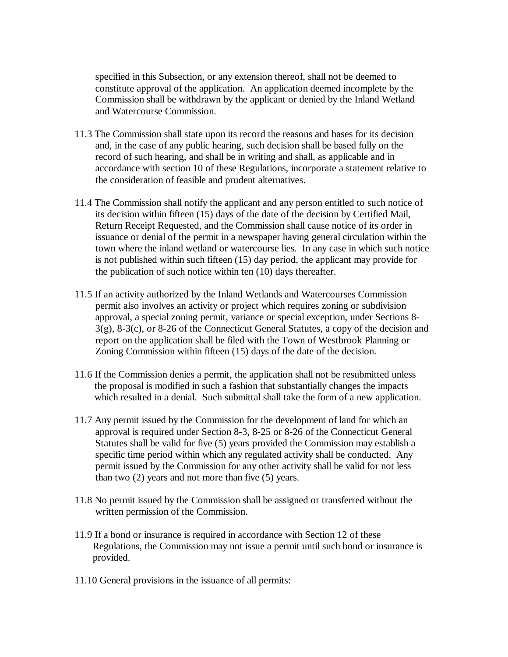specified in this Subsection, or any extension thereof, shall not be deemed to constitute approval of the application. An application deemed incomplete by the Commission shall be withdrawn by the applicant or denied by the Inland Wetland and Watercourse Commission.

- 11.3 The Commission shall state upon its record the reasons and bases for its decision and, in the case of any public hearing, such decision shall be based fully on the record of such hearing, and shall be in writing and shall, as applicable and in accordance with section 10 of these Regulations, incorporate a statement relative to the consideration of feasible and prudent alternatives.
- 11.4 The Commission shall notify the applicant and any person entitled to such notice of its decision within fifteen (15) days of the date of the decision by Certified Mail, Return Receipt Requested, and the Commission shall cause notice of its order in issuance or denial of the permit in a newspaper having general circulation within the town where the inland wetland or watercourse lies. In any case in which such notice is not published within such fifteen (15) day period, the applicant may provide for the publication of such notice within ten (10) days thereafter.
- 11.5 If an activity authorized by the Inland Wetlands and Watercourses Commission permit also involves an activity or project which requires zoning or subdivision approval, a special zoning permit, variance or special exception, under Sections 8- 3(g), 8-3(c), or 8-26 of the Connecticut General Statutes, a copy of the decision and report on the application shall be filed with the Town of Westbrook Planning or Zoning Commission within fifteen (15) days of the date of the decision.
- 11.6 If the Commission denies a permit, the application shall not be resubmitted unless the proposal is modified in such a fashion that substantially changes the impacts which resulted in a denial. Such submittal shall take the form of a new application.
- 11.7 Any permit issued by the Commission for the development of land for which an approval is required under Section 8-3, 8-25 or 8-26 of the Connecticut General Statutes shall be valid for five (5) years provided the Commission may establish a specific time period within which any regulated activity shall be conducted. Any permit issued by the Commission for any other activity shall be valid for not less than two (2) years and not more than five (5) years.
- 11.8 No permit issued by the Commission shall be assigned or transferred without the written permission of the Commission.
- 11.9 If a bond or insurance is required in accordance with Section 12 of these Regulations, the Commission may not issue a permit until such bond or insurance is provided.
- 11.10 General provisions in the issuance of all permits: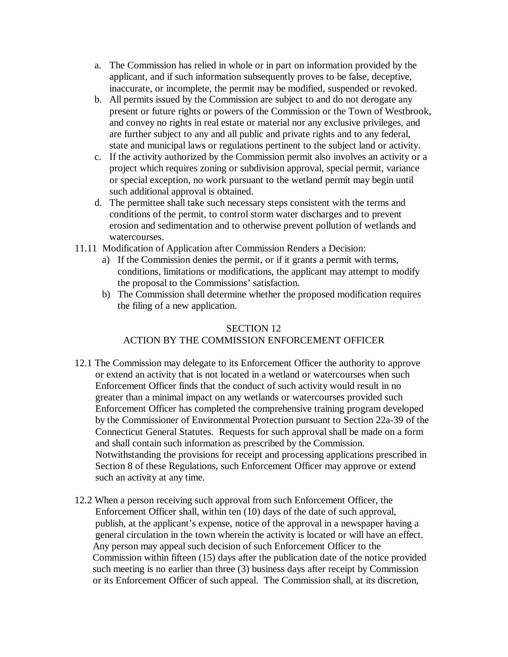- a. The Commission has relied in whole or in part on information provided by the applicant, and if such information subsequently proves to be false, deceptive, inaccurate, or incomplete, the permit may be modified, suspended or revoked.
- b. All permits issued by the Commission are subject to and do not derogate any present or future rights or powers of the Commission or the Town of Westbrook, and convey no rights in real estate or material nor any exclusive privileges, and are further subject to any and all public and private rights and to any federal, state and municipal laws or regulations pertinent to the subject land or activity.
- c. If the activity authorized by the Commission permit also involves an activity or a project which requires zoning or subdivision approval, special permit, variance or special exception, no work pursuant to the wetland permit may begin until such additional approval is obtained.
- d. The permittee shall take such necessary steps consistent with the terms and conditions of the permit, to control storm water discharges and to prevent erosion and sedimentation and to otherwise prevent pollution of wetlands and watercourses.
- 11.11 Modification of Application after Commission Renders a Decision:
	- a) If the Commission denies the permit, or if it grants a permit with terms, conditions, limitations or modifications, the applicant may attempt to modify the proposal to the Commissions' satisfaction.
	- b) The Commission shall determine whether the proposed modification requires the filing of a new application.

## SECTION 12 ACTION BY THE COMMISSION ENFORCEMENT OFFICER

- 12.1 The Commission may delegate to its Enforcement Officer the authority to approve or extend an activity that is not located in a wetland or watercourses when such Enforcement Officer finds that the conduct of such activity would result in no greater than a minimal impact on any wetlands or watercourses provided such Enforcement Officer has completed the comprehensive training program developed by the Commissioner of Environmental Protection pursuant to Section 22a-39 of the Connecticut General Statutes. Requests for such approval shall be made on a form and shall contain such information as prescribed by the Commission. Notwithstanding the provisions for receipt and processing applications prescribed in Section 8 of these Regulations, such Enforcement Officer may approve or extend such an activity at any time.
- 12.2 When a person receiving such approval from such Enforcement Officer, the Enforcement Officer shall, within ten (10) days of the date of such approval, publish, at the applicant's expense, notice of the approval in a newspaper having a general circulation in the town wherein the activity is located or will have an effect. Any person may appeal such decision of such Enforcement Officer to the Commission within fifteen (15) days after the publication date of the notice provided such meeting is no earlier than three (3) business days after receipt by Commission or its Enforcement Officer of such appeal. The Commission shall, at its discretion,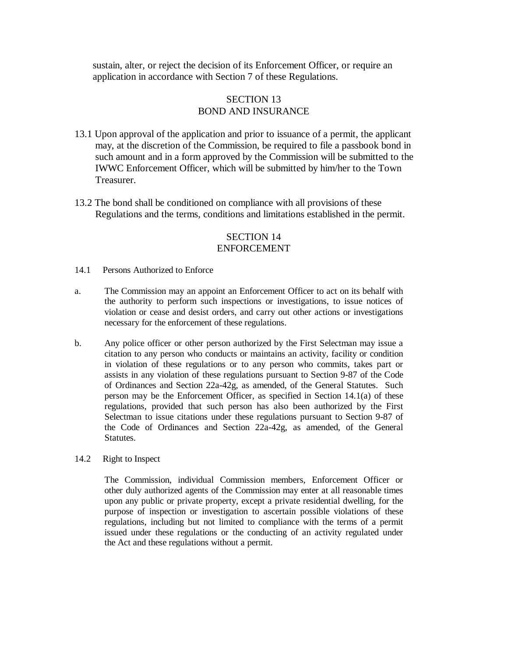sustain, alter, or reject the decision of its Enforcement Officer, or require an application in accordance with Section 7 of these Regulations.

### SECTION 13 BOND AND INSURANCE

- 13.1 Upon approval of the application and prior to issuance of a permit, the applicant may, at the discretion of the Commission, be required to file a passbook bond in such amount and in a form approved by the Commission will be submitted to the IWWC Enforcement Officer, which will be submitted by him/her to the Town Treasurer.
- 13.2 The bond shall be conditioned on compliance with all provisions of these Regulations and the terms, conditions and limitations established in the permit.

### SECTION 14 ENFORCEMENT

- 14.1 Persons Authorized to Enforce
- a. The Commission may an appoint an Enforcement Officer to act on its behalf with the authority to perform such inspections or investigations, to issue notices of violation or cease and desist orders, and carry out other actions or investigations necessary for the enforcement of these regulations.
- b. Any police officer or other person authorized by the First Selectman may issue a citation to any person who conducts or maintains an activity, facility or condition in violation of these regulations or to any person who commits, takes part or assists in any violation of these regulations pursuant to Section 9-87 of the Code of Ordinances and Section 22a-42g, as amended, of the General Statutes. Such person may be the Enforcement Officer, as specified in Section 14.1(a) of these regulations, provided that such person has also been authorized by the First Selectman to issue citations under these regulations pursuant to Section 9-87 of the Code of Ordinances and Section 22a-42g, as amended, of the General Statutes.
- 14.2 Right to Inspect

 The Commission, individual Commission members, Enforcement Officer or other duly authorized agents of the Commission may enter at all reasonable times upon any public or private property, except a private residential dwelling, for the purpose of inspection or investigation to ascertain possible violations of these regulations, including but not limited to compliance with the terms of a permit issued under these regulations or the conducting of an activity regulated under the Act and these regulations without a permit.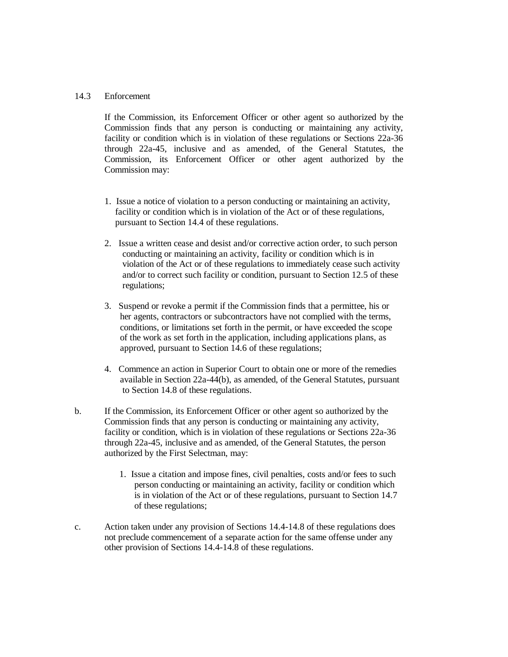#### 14.3 Enforcement

 If the Commission, its Enforcement Officer or other agent so authorized by the Commission finds that any person is conducting or maintaining any activity, facility or condition which is in violation of these regulations or Sections 22a-36 through 22a-45, inclusive and as amended, of the General Statutes, the Commission, its Enforcement Officer or other agent authorized by the Commission may:

- 1. Issue a notice of violation to a person conducting or maintaining an activity, facility or condition which is in violation of the Act or of these regulations, pursuant to Section 14.4 of these regulations.
- 2. Issue a written cease and desist and/or corrective action order, to such person conducting or maintaining an activity, facility or condition which is in violation of the Act or of these regulations to immediately cease such activity and/or to correct such facility or condition, pursuant to Section 12.5 of these regulations;
- 3. Suspend or revoke a permit if the Commission finds that a permittee, his or her agents, contractors or subcontractors have not complied with the terms, conditions, or limitations set forth in the permit, or have exceeded the scope of the work as set forth in the application, including applications plans, as approved, pursuant to Section 14.6 of these regulations;
- 4. Commence an action in Superior Court to obtain one or more of the remedies available in Section 22a-44(b), as amended, of the General Statutes, pursuant to Section 14.8 of these regulations.
- b. If the Commission, its Enforcement Officer or other agent so authorized by the Commission finds that any person is conducting or maintaining any activity, facility or condition, which is in violation of these regulations or Sections 22a-36 through 22a-45, inclusive and as amended, of the General Statutes, the person authorized by the First Selectman, may:
	- 1. Issue a citation and impose fines, civil penalties, costs and/or fees to such person conducting or maintaining an activity, facility or condition which is in violation of the Act or of these regulations, pursuant to Section 14.7 of these regulations;
- c. Action taken under any provision of Sections 14.4-14.8 of these regulations does not preclude commencement of a separate action for the same offense under any other provision of Sections 14.4-14.8 of these regulations.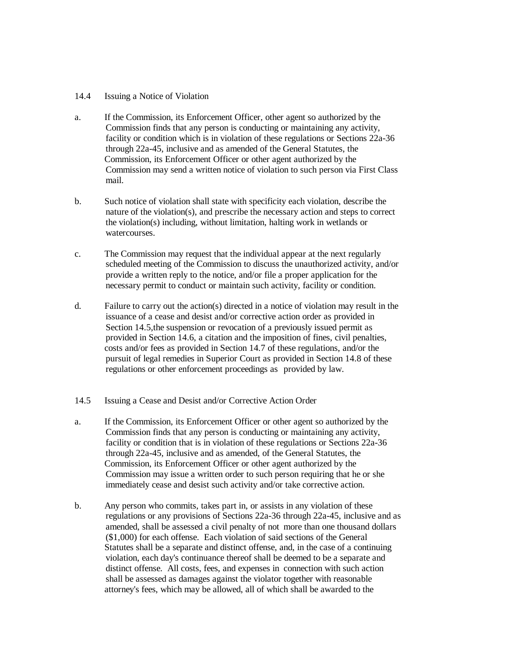#### 14.4 Issuing a Notice of Violation

- a. If the Commission, its Enforcement Officer, other agent so authorized by the Commission finds that any person is conducting or maintaining any activity, facility or condition which is in violation of these regulations or Sections 22a-36 through 22a-45, inclusive and as amended of the General Statutes, the Commission, its Enforcement Officer or other agent authorized by the Commission may send a written notice of violation to such person via First Class mail.
- b. Such notice of violation shall state with specificity each violation, describe the nature of the violation(s), and prescribe the necessary action and steps to correct the violation(s) including, without limitation, halting work in wetlands or watercourses.
- c. The Commission may request that the individual appear at the next regularly scheduled meeting of the Commission to discuss the unauthorized activity, and/or provide a written reply to the notice, and/or file a proper application for the necessary permit to conduct or maintain such activity, facility or condition.
- d. Failure to carry out the action(s) directed in a notice of violation may result in the issuance of a cease and desist and/or corrective action order as provided in Section 14.5,the suspension or revocation of a previously issued permit as provided in Section 14.6, a citation and the imposition of fines, civil penalties, costs and/or fees as provided in Section 14.7 of these regulations, and/or the pursuit of legal remedies in Superior Court as provided in Section 14.8 of these regulations or other enforcement proceedings as provided by law.

#### 14.5 Issuing a Cease and Desist and/or Corrective Action Order

- a. If the Commission, its Enforcement Officer or other agent so authorized by the Commission finds that any person is conducting or maintaining any activity, facility or condition that is in violation of these regulations or Sections 22a-36 through 22a-45, inclusive and as amended, of the General Statutes, the Commission, its Enforcement Officer or other agent authorized by the Commission may issue a written order to such person requiring that he or she immediately cease and desist such activity and/or take corrective action.
- b. Any person who commits, takes part in, or assists in any violation of these regulations or any provisions of Sections 22a-36 through 22a-45, inclusive and as amended, shall be assessed a civil penalty of not more than one thousand dollars (\$1,000) for each offense. Each violation of said sections of the General Statutes shall be a separate and distinct offense, and, in the case of a continuing violation, each day's continuance thereof shall be deemed to be a separate and distinct offense. All costs, fees, and expenses in connection with such action shall be assessed as damages against the violator together with reasonable attorney's fees, which may be allowed, all of which shall be awarded to the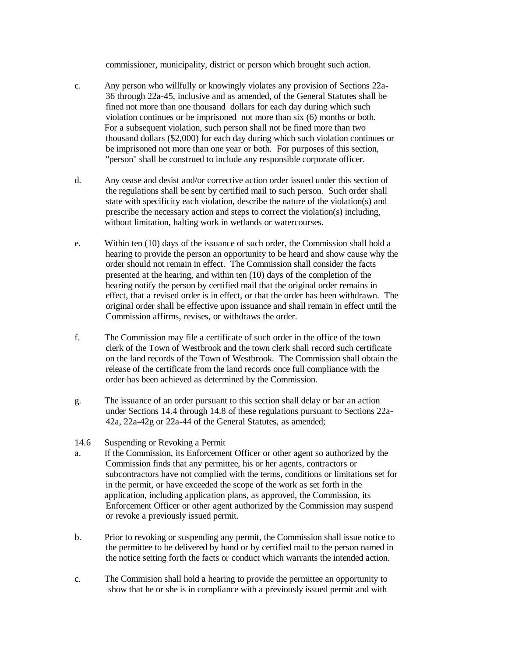commissioner, municipality, district or person which brought such action.

- c. Any person who willfully or knowingly violates any provision of Sections 22a- 36 through 22a-45, inclusive and as amended, of the General Statutes shall be fined not more than one thousand dollars for each day during which such violation continues or be imprisoned not more than six (6) months or both. For a subsequent violation, such person shall not be fined more than two thousand dollars (\$2,000) for each day during which such violation continues or be imprisoned not more than one year or both. For purposes of this section, "person" shall be construed to include any responsible corporate officer.
- d. Any cease and desist and/or corrective action order issued under this section of the regulations shall be sent by certified mail to such person. Such order shall state with specificity each violation, describe the nature of the violation(s) and prescribe the necessary action and steps to correct the violation(s) including, without limitation, halting work in wetlands or watercourses.
- e. Within ten (10) days of the issuance of such order, the Commission shall hold a hearing to provide the person an opportunity to be heard and show cause why the order should not remain in effect. The Commission shall consider the facts presented at the hearing, and within ten (10) days of the completion of the hearing notify the person by certified mail that the original order remains in effect, that a revised order is in effect, or that the order has been withdrawn. The original order shall be effective upon issuance and shall remain in effect until the Commission affirms, revises, or withdraws the order.
- f. The Commission may file a certificate of such order in the office of the town clerk of the Town of Westbrook and the town clerk shall record such certificate on the land records of the Town of Westbrook. The Commission shall obtain the release of the certificate from the land records once full compliance with the order has been achieved as determined by the Commission.
- g. The issuance of an order pursuant to this section shall delay or bar an action under Sections 14.4 through 14.8 of these regulations pursuant to Sections 22a- 42a, 22a-42g or 22a-44 of the General Statutes, as amended;
- 14.6 Suspending or Revoking a Permit
- a. If the Commission, its Enforcement Officer or other agent so authorized by the Commission finds that any permittee, his or her agents, contractors or subcontractors have not complied with the terms, conditions or limitations set for in the permit, or have exceeded the scope of the work as set forth in the application, including application plans, as approved, the Commission, its Enforcement Officer or other agent authorized by the Commission may suspend or revoke a previously issued permit.
- b. Prior to revoking or suspending any permit, the Commission shall issue notice to the permittee to be delivered by hand or by certified mail to the person named in the notice setting forth the facts or conduct which warrants the intended action.
- c. The Commision shall hold a hearing to provide the permittee an opportunity to show that he or she is in compliance with a previously issued permit and with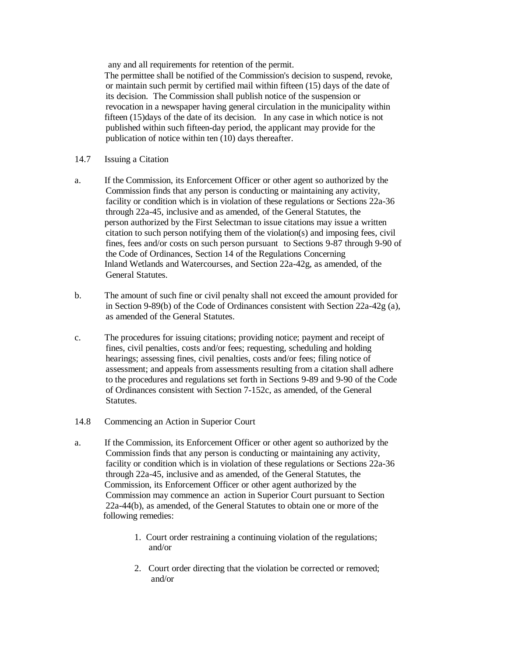any and all requirements for retention of the permit.

 The permittee shall be notified of the Commission's decision to suspend, revoke, or maintain such permit by certified mail within fifteen (15) days of the date of its decision. The Commission shall publish notice of the suspension or revocation in a newspaper having general circulation in the municipality within fifteen (15)days of the date of its decision. In any case in which notice is not published within such fifteen-day period, the applicant may provide for the publication of notice within ten (10) days thereafter.

- 14.7 Issuing a Citation
- a. If the Commission, its Enforcement Officer or other agent so authorized by the Commission finds that any person is conducting or maintaining any activity, facility or condition which is in violation of these regulations or Sections 22a-36 through 22a-45, inclusive and as amended, of the General Statutes, the person authorized by the First Selectman to issue citations may issue a written citation to such person notifying them of the violation(s) and imposing fees, civil fines, fees and/or costs on such person pursuant to Sections 9-87 through 9-90 of the Code of Ordinances, Section 14 of the Regulations Concerning Inland Wetlands and Watercourses, and Section 22a-42g, as amended, of the General Statutes.
- b. The amount of such fine or civil penalty shall not exceed the amount provided for in Section 9-89(b) of the Code of Ordinances consistent with Section 22a-42g (a), as amended of the General Statutes.
- c. The procedures for issuing citations; providing notice; payment and receipt of fines, civil penalties, costs and/or fees; requesting, scheduling and holding hearings; assessing fines, civil penalties, costs and/or fees; filing notice of assessment; and appeals from assessments resulting from a citation shall adhere to the procedures and regulations set forth in Sections 9-89 and 9-90 of the Code of Ordinances consistent with Section 7-152c, as amended, of the General Statutes.
- 14.8 Commencing an Action in Superior Court
- a. If the Commission, its Enforcement Officer or other agent so authorized by the Commission finds that any person is conducting or maintaining any activity, facility or condition which is in violation of these regulations or Sections 22a-36 through 22a-45, inclusive and as amended, of the General Statutes, the Commission, its Enforcement Officer or other agent authorized by the Commission may commence an action in Superior Court pursuant to Section 22a-44(b), as amended, of the General Statutes to obtain one or more of the following remedies:
	- 1. Court order restraining a continuing violation of the regulations; and/or
	- 2. Court order directing that the violation be corrected or removed; and/or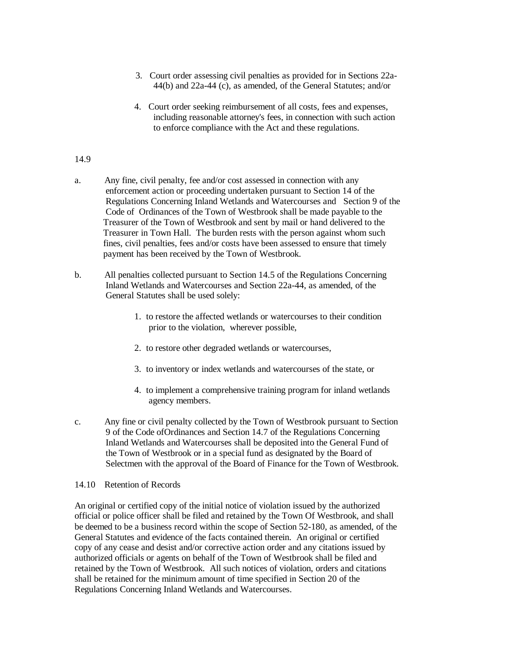- 3. Court order assessing civil penalties as provided for in Sections 22a- 44(b) and 22a-44 (c), as amended, of the General Statutes; and/or
- 4. Court order seeking reimbursement of all costs, fees and expenses, including reasonable attorney's fees, in connection with such action to enforce compliance with the Act and these regulations.

#### 14.9

- a. Any fine, civil penalty, fee and/or cost assessed in connection with any enforcement action or proceeding undertaken pursuant to Section 14 of the Regulations Concerning Inland Wetlands and Watercourses and Section 9 of the Code of Ordinances of the Town of Westbrook shall be made payable to the Treasurer of the Town of Westbrook and sent by mail or hand delivered to the Treasurer in Town Hall. The burden rests with the person against whom such fines, civil penalties, fees and/or costs have been assessed to ensure that timely payment has been received by the Town of Westbrook.
- b. All penalties collected pursuant to Section 14.5 of the Regulations Concerning Inland Wetlands and Watercourses and Section 22a-44, as amended, of the General Statutes shall be used solely:
	- 1. to restore the affected wetlands or watercourses to their condition prior to the violation, wherever possible,
	- 2. to restore other degraded wetlands or watercourses,
	- 3. to inventory or index wetlands and watercourses of the state, or
	- 4. to implement a comprehensive training program for inland wetlands agency members.
- c. Any fine or civil penalty collected by the Town of Westbrook pursuant to Section 9 of the Code of Ordinances and Section 14.7 of the Regulations Concerning Inland Wetlands and Watercourses shall be deposited into the General Fund of the Town of Westbrook or in a special fund as designated by the Board of Selectmen with the approval of the Board of Finance for the Town of Westbrook.

#### 14.10 Retention of Records

An original or certified copy of the initial notice of violation issued by the authorized official or police officer shall be filed and retained by the Town Of Westbrook, and shall be deemed to be a business record within the scope of Section 52-180, as amended, of the General Statutes and evidence of the facts contained therein. An original or certified copy of any cease and desist and/or corrective action order and any citations issued by authorized officials or agents on behalf of the Town of Westbrook shall be filed and retained by the Town of Westbrook. All such notices of violation, orders and citations shall be retained for the minimum amount of time specified in Section 20 of the Regulations Concerning Inland Wetlands and Watercourses.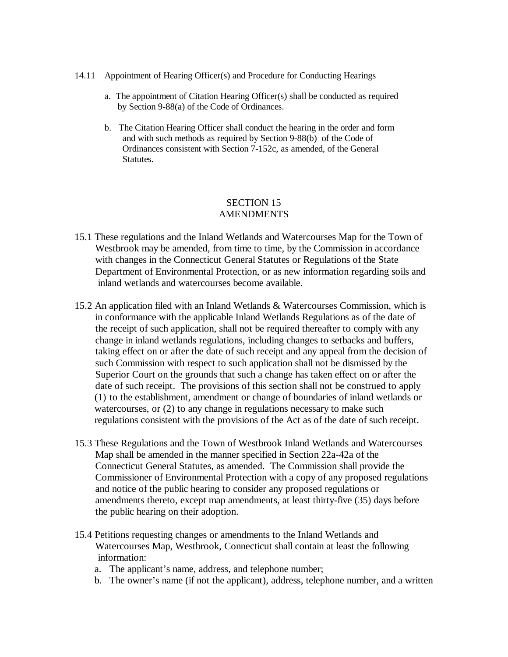- 14.11 Appointment of Hearing Officer(s) and Procedure for Conducting Hearings
	- a. The appointment of Citation Hearing Officer(s) shall be conducted as required by Section 9-88(a) of the Code of Ordinances.
	- b. The Citation Hearing Officer shall conduct the hearing in the order and form and with such methods as required by Section 9-88(b) of the Code of Ordinances consistent with Section 7-152c, as amended, of the General Statutes.

### SECTION 15 AMENDMENTS

- 15.1 These regulations and the Inland Wetlands and Watercourses Map for the Town of Westbrook may be amended, from time to time, by the Commission in accordance with changes in the Connecticut General Statutes or Regulations of the State Department of Environmental Protection, or as new information regarding soils and inland wetlands and watercourses become available.
- 15.2 An application filed with an Inland Wetlands & Watercourses Commission, which is in conformance with the applicable Inland Wetlands Regulations as of the date of the receipt of such application, shall not be required thereafter to comply with any change in inland wetlands regulations, including changes to setbacks and buffers, taking effect on or after the date of such receipt and any appeal from the decision of such Commission with respect to such application shall not be dismissed by the Superior Court on the grounds that such a change has taken effect on or after the date of such receipt. The provisions of this section shall not be construed to apply (1) to the establishment, amendment or change of boundaries of inland wetlands or watercourses, or (2) to any change in regulations necessary to make such regulations consistent with the provisions of the Act as of the date of such receipt.
- 15.3 These Regulations and the Town of Westbrook Inland Wetlands and Watercourses Map shall be amended in the manner specified in Section 22a-42a of the Connecticut General Statutes, as amended. The Commission shall provide the Commissioner of Environmental Protection with a copy of any proposed regulations and notice of the public hearing to consider any proposed regulations or amendments thereto, except map amendments, at least thirty-five (35) days before the public hearing on their adoption.
- 15.4 Petitions requesting changes or amendments to the Inland Wetlands and Watercourses Map, Westbrook, Connecticut shall contain at least the following information:
	- a. The applicant's name, address, and telephone number;
	- b. The owner's name (if not the applicant), address, telephone number, and a written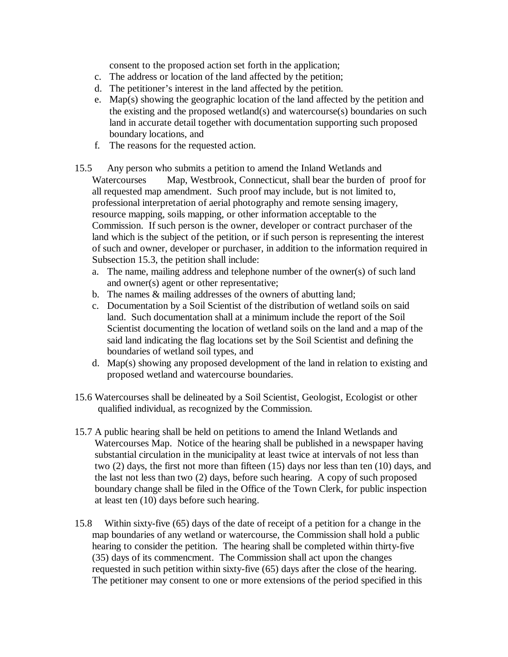consent to the proposed action set forth in the application;

- c. The address or location of the land affected by the petition;
- d. The petitioner's interest in the land affected by the petition.
- e. Map(s) showing the geographic location of the land affected by the petition and the existing and the proposed wetland(s) and watercourse(s) boundaries on such land in accurate detail together with documentation supporting such proposed boundary locations, and
- f. The reasons for the requested action.
- 15.5 Any person who submits a petition to amend the Inland Wetlands and Watercourses Map, Westbrook, Connecticut, shall bear the burden of proof for all requested map amendment. Such proof may include, but is not limited to, professional interpretation of aerial photography and remote sensing imagery, resource mapping, soils mapping, or other information acceptable to the Commission. If such person is the owner, developer or contract purchaser of the land which is the subject of the petition, or if such person is representing the interest of such and owner, developer or purchaser, in addition to the information required in Subsection 15.3, the petition shall include:
	- a. The name, mailing address and telephone number of the owner(s) of such land and owner(s) agent or other representative;
	- b. The names & mailing addresses of the owners of abutting land;
	- c. Documentation by a Soil Scientist of the distribution of wetland soils on said land. Such documentation shall at a minimum include the report of the Soil Scientist documenting the location of wetland soils on the land and a map of the said land indicating the flag locations set by the Soil Scientist and defining the boundaries of wetland soil types, and
	- d. Map(s) showing any proposed development of the land in relation to existing and proposed wetland and watercourse boundaries.
- 15.6 Watercourses shall be delineated by a Soil Scientist, Geologist, Ecologist or other qualified individual, as recognized by the Commission.
- 15.7 A public hearing shall be held on petitions to amend the Inland Wetlands and Watercourses Map. Notice of the hearing shall be published in a newspaper having substantial circulation in the municipality at least twice at intervals of not less than two (2) days, the first not more than fifteen (15) days nor less than ten (10) days, and the last not less than two (2) days, before such hearing. A copy of such proposed boundary change shall be filed in the Office of the Town Clerk, for public inspection at least ten (10) days before such hearing.
- 15.8 Within sixty-five (65) days of the date of receipt of a petition for a change in the map boundaries of any wetland or watercourse, the Commission shall hold a public hearing to consider the petition. The hearing shall be completed within thirty-five (35) days of its commencment. The Commission shall act upon the changes requested in such petition within sixty-five (65) days after the close of the hearing. The petitioner may consent to one or more extensions of the period specified in this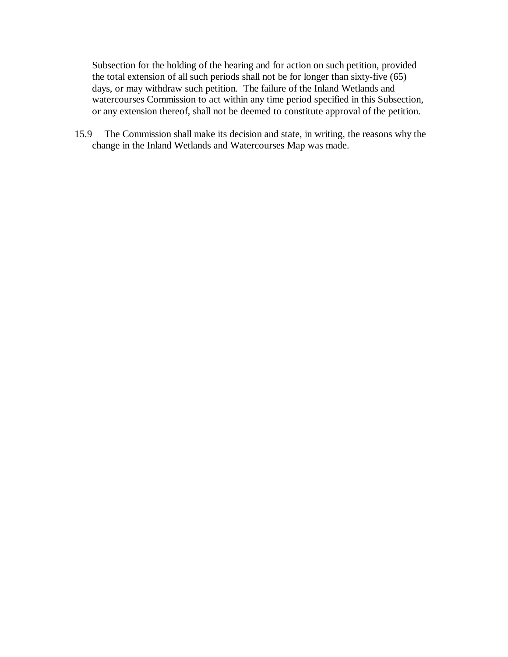Subsection for the holding of the hearing and for action on such petition, provided the total extension of all such periods shall not be for longer than sixty-five (65) days, or may withdraw such petition. The failure of the Inland Wetlands and watercourses Commission to act within any time period specified in this Subsection, or any extension thereof, shall not be deemed to constitute approval of the petition.

15.9 The Commission shall make its decision and state, in writing, the reasons why the change in the Inland Wetlands and Watercourses Map was made.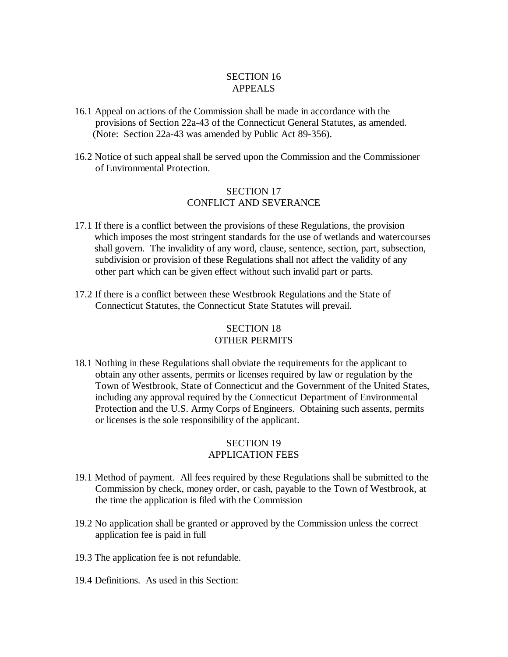## SECTION 16 APPEALS

- 16.1 Appeal on actions of the Commission shall be made in accordance with the provisions of Section 22a-43 of the Connecticut General Statutes, as amended. (Note: Section 22a-43 was amended by Public Act 89-356).
- 16.2 Notice of such appeal shall be served upon the Commission and the Commissioner of Environmental Protection.

### SECTION 17 CONFLICT AND SEVERANCE

- 17.1 If there is a conflict between the provisions of these Regulations, the provision which imposes the most stringent standards for the use of wetlands and watercourses shall govern. The invalidity of any word, clause, sentence, section, part, subsection, subdivision or provision of these Regulations shall not affect the validity of any other part which can be given effect without such invalid part or parts.
- 17.2 If there is a conflict between these Westbrook Regulations and the State of Connecticut Statutes, the Connecticut State Statutes will prevail.

# SECTION 18 OTHER PERMITS

18.1 Nothing in these Regulations shall obviate the requirements for the applicant to obtain any other assents, permits or licenses required by law or regulation by the Town of Westbrook, State of Connecticut and the Government of the United States, including any approval required by the Connecticut Department of Environmental Protection and the U.S. Army Corps of Engineers. Obtaining such assents, permits or licenses is the sole responsibility of the applicant.

# SECTION 19 APPLICATION FEES

- 19.1 Method of payment. All fees required by these Regulations shall be submitted to the Commission by check, money order, or cash, payable to the Town of Westbrook, at the time the application is filed with the Commission
- 19.2 No application shall be granted or approved by the Commission unless the correct application fee is paid in full
- 19.3 The application fee is not refundable.
- 19.4 Definitions. As used in this Section: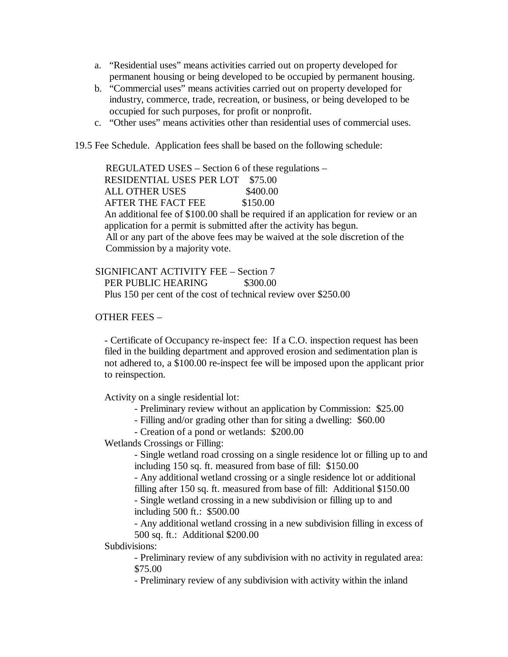- a. "Residential uses" means activities carried out on property developed for permanent housing or being developed to be occupied by permanent housing.
- b. "Commercial uses" means activities carried out on property developed for industry, commerce, trade, recreation, or business, or being developed to be occupied for such purposes, for profit or nonprofit.
- c. "Other uses" means activities other than residential uses of commercial uses.
- 19.5 Fee Schedule. Application fees shall be based on the following schedule:

 REGULATED USES – Section 6 of these regulations – RESIDENTIAL USES PER LOT \$75.00 ALL OTHER USES \$400.00 AFTER THE FACT FEE \$150.00 An additional fee of \$100.00 shall be required if an application for review or an application for a permit is submitted after the activity has begun. All or any part of the above fees may be waived at the sole discretion of the Commission by a majority vote.

 SIGNIFICANT ACTIVITY FEE – Section 7 PER PUBLIC HEARING \$300.00 Plus 150 per cent of the cost of technical review over \$250.00

#### OTHER FEES –

- Certificate of Occupancy re-inspect fee: If a C.O. inspection request has been filed in the building department and approved erosion and sedimentation plan is not adhered to, a \$100.00 re-inspect fee will be imposed upon the applicant prior to reinspection.

Activity on a single residential lot:

- Preliminary review without an application by Commission: \$25.00
- Filling and/or grading other than for siting a dwelling: \$60.00

- Creation of a pond or wetlands: \$200.00

Wetlands Crossings or Filling:

- Single wetland road crossing on a single residence lot or filling up to and including 150 sq. ft. measured from base of fill: \$150.00

- Any additional wetland crossing or a single residence lot or additional filling after 150 sq. ft. measured from base of fill: Additional \$150.00

- Single wetland crossing in a new subdivision or filling up to and including 500 ft.: \$500.00

- Any additional wetland crossing in a new subdivision filling in excess of 500 sq. ft.: Additional \$200.00

Subdivisions:

- Preliminary review of any subdivision with no activity in regulated area: \$75.00

- Preliminary review of any subdivision with activity within the inland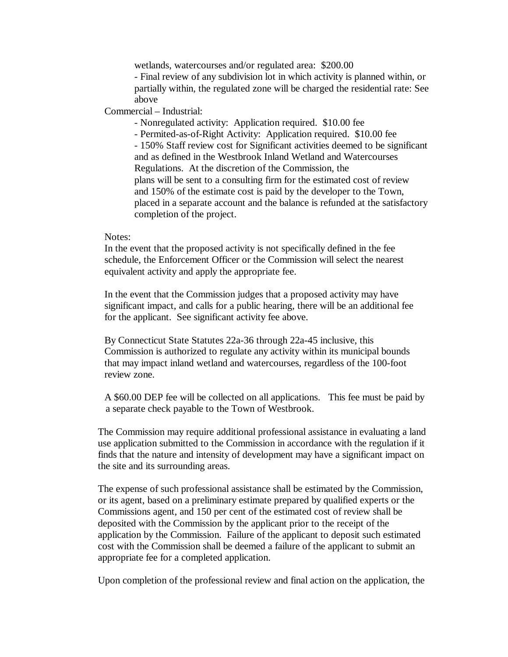wetlands, watercourses and/or regulated area: \$200.00

- Final review of any subdivision lot in which activity is planned within, or partially within, the regulated zone will be charged the residential rate: See above

Commercial – Industrial:

- Nonregulated activity: Application required. \$10.00 fee

- Permited-as-of-Right Activity: Application required. \$10.00 fee - 150% Staff review cost for Significant activities deemed to be significant and as defined in the Westbrook Inland Wetland and Watercourses Regulations. At the discretion of the Commission, the plans will be sent to a consulting firm for the estimated cost of review and 150% of the estimate cost is paid by the developer to the Town, placed in a separate account and the balance is refunded at the satisfactory completion of the project.

#### Notes:

 In the event that the proposed activity is not specifically defined in the fee schedule, the Enforcement Officer or the Commission will select the nearest equivalent activity and apply the appropriate fee.

 In the event that the Commission judges that a proposed activity may have significant impact, and calls for a public hearing, there will be an additional fee for the applicant. See significant activity fee above.

 By Connecticut State Statutes 22a-36 through 22a-45 inclusive, this Commission is authorized to regulate any activity within its municipal bounds that may impact inland wetland and watercourses, regardless of the 100-foot review zone.

 A \$60.00 DEP fee will be collected on all applications. This fee must be paid by a separate check payable to the Town of Westbrook.

 The Commission may require additional professional assistance in evaluating a land use application submitted to the Commission in accordance with the regulation if it finds that the nature and intensity of development may have a significant impact on the site and its surrounding areas.

 The expense of such professional assistance shall be estimated by the Commission, or its agent, based on a preliminary estimate prepared by qualified experts or the Commissions agent, and 150 per cent of the estimated cost of review shall be deposited with the Commission by the applicant prior to the receipt of the application by the Commission. Failure of the applicant to deposit such estimated cost with the Commission shall be deemed a failure of the applicant to submit an appropriate fee for a completed application.

Upon completion of the professional review and final action on the application, the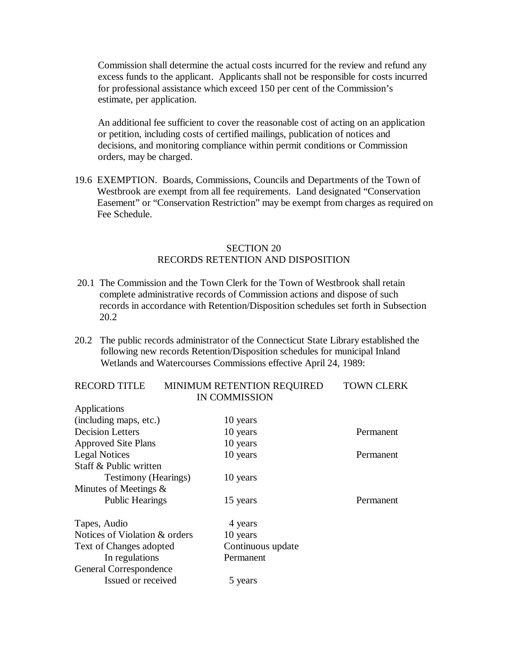Commission shall determine the actual costs incurred for the review and refund any excess funds to the applicant. Applicants shall not be responsible for costs incurred for professional assistance which exceed 150 per cent of the Commission's estimate, per application.

 An additional fee sufficient to cover the reasonable cost of acting on an application or petition, including costs of certified mailings, publication of notices and decisions, and monitoring compliance within permit conditions or Commission orders, may be charged.

19.6 EXEMPTION. Boards, Commissions, Councils and Departments of the Town of Westbrook are exempt from all fee requirements. Land designated "Conservation Easement" or "Conservation Restriction" may be exempt from charges as required on Fee Schedule.

#### SECTION 20 RECORDS RETENTION AND DISPOSITION

- 20.1 The Commission and the Town Clerk for the Town of Westbrook shall retain complete administrative records of Commission actions and dispose of such records in accordance with Retention/Disposition schedules set forth in Subsection 20.2
- 20.2 The public records administrator of the Connecticut State Library established the following new records Retention/Disposition schedules for municipal Inland Wetlands and Watercourses Commissions effective April 24, 1989:

| <b>RECORD TITLE</b>           | MINIMUM RETENTION REQUIRED | <b>TOWN CLERK</b> |
|-------------------------------|----------------------------|-------------------|
|                               | <b>IN COMMISSION</b>       |                   |
| Applications                  |                            |                   |
| (including maps, etc.)        | 10 years                   |                   |
| <b>Decision Letters</b>       | 10 years                   | Permanent         |
| <b>Approved Site Plans</b>    | 10 years                   |                   |
| <b>Legal Notices</b>          | 10 years                   | Permanent         |
| Staff & Public written        |                            |                   |
| <b>Testimony</b> (Hearings)   | 10 years                   |                   |
| Minutes of Meetings $\&$      |                            |                   |
| <b>Public Hearings</b>        | 15 years                   | Permanent         |
| Tapes, Audio                  | 4 years                    |                   |
| Notices of Violation & orders | 10 years                   |                   |
| Text of Changes adopted       | Continuous update          |                   |
| In regulations                | Permanent                  |                   |
| General Correspondence        |                            |                   |
| Issued or received            | 5 years                    |                   |